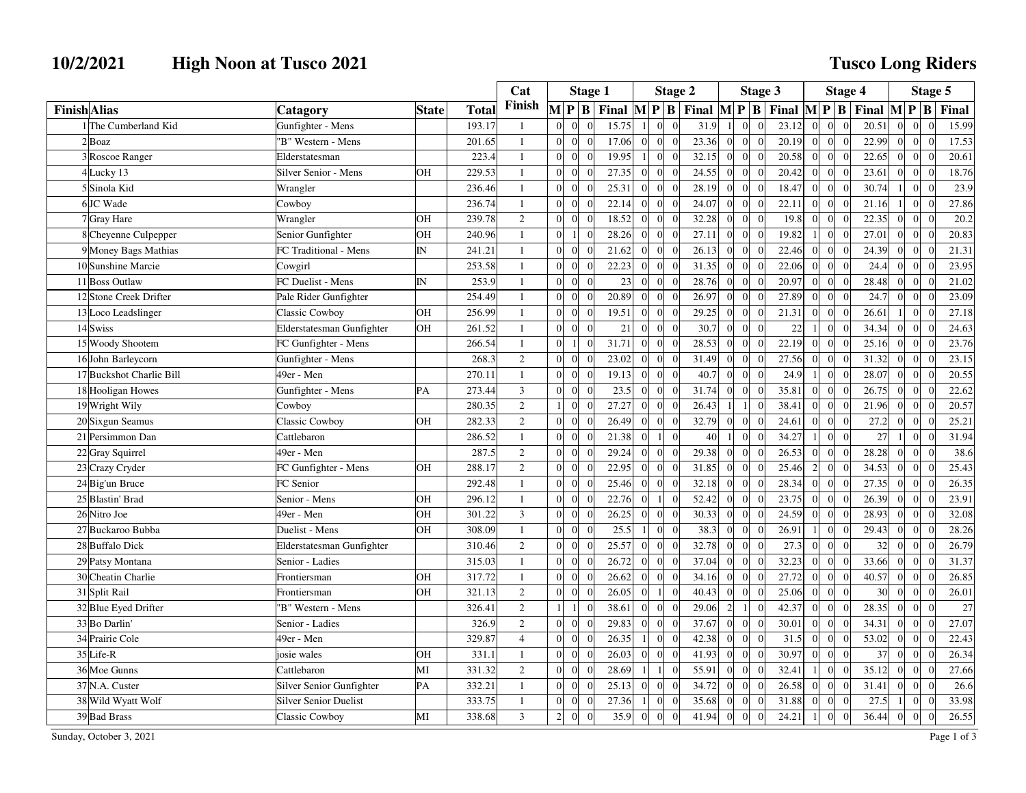## **10/2/2021 High Noon at Tusco 2021**

## **Tusco Long Riders**

|                          |                              |              |        | Cat            |                |                              | <b>Stage 1</b>                           |                 |                                  | <b>Stage 2</b> | <b>Stage 3</b>  |                 |                |                                                                                                                                                                                                          | <b>Stage 4</b>                    |                            |       |                | Stage 5                          |       |  |
|--------------------------|------------------------------|--------------|--------|----------------|----------------|------------------------------|------------------------------------------|-----------------|----------------------------------|----------------|-----------------|-----------------|----------------|----------------------------------------------------------------------------------------------------------------------------------------------------------------------------------------------------------|-----------------------------------|----------------------------|-------|----------------|----------------------------------|-------|--|
| <b>Finish</b> Alias      | Catagory                     | <b>State</b> | Total  | Finish         |                | $M$ $P$ $B$                  | Final $\mathbf{M} \mathbf{P} \mathbf{B}$ |                 |                                  |                |                 |                 |                | Final $\left \mathbf{M}\right  \mathbf{P} \left \mathbf{B}\right $ Final $\left \mathbf{M}\right  \mathbf{P} \left \mathbf{B}\right $ Final $\left \mathbf{M}\right  \mathbf{P} \left \mathbf{B}\right $ |                                   |                            |       |                |                                  | Final |  |
| 1 The Cumberland Kid     | Gunfighter - Mens            |              | 193.17 | $\mathbf{1}$   | $\overline{0}$ | $\mathbf{0}$                 | 15.75                                    |                 | $\Omega$                         | 31.9           | 1 <sup>1</sup>  | $\overline{0}$  | $\theta$       | 23.12                                                                                                                                                                                                    | $\overline{0}$                    | $\overline{0}$<br>$\Omega$ | 20.51 | $\Omega$       | $\overline{0}$<br>$\Omega$       | 15.99 |  |
| $2$ Boaz                 | 'B" Western - Mens           |              | 201.65 | $\mathbf{1}$   | $\overline{0}$ | $\overline{0}$<br>$\theta$   | 17.06                                    | $\mathbf{0}$    | $\Omega$<br>$\Omega$             | 23.36          | $\overline{0}$  | $\overline{0}$  | $\overline{0}$ | 20.19                                                                                                                                                                                                    | $\overline{0}$<br>$\overline{0}$  | $\overline{0}$             | 22.99 | $\Omega$       | $\overline{0}$<br>$\Omega$       | 17.53 |  |
| 3 Roscoe Ranger          | Elderstatesman               |              | 223.4  | $\mathbf{1}$   | $\overline{0}$ | $\overline{0}$               | 19.95                                    | $\mathbf{1}$    | $\sqrt{ }$<br>$\overline{0}$     | 32.15          | $\overline{0}$  | $\overline{0}$  | $\overline{0}$ | 20.58                                                                                                                                                                                                    | $\overline{0}$<br>$\overline{0}$  | $\Omega$                   | 22.65 | $\vert$ 0      | $\overline{0}$                   | 20.61 |  |
| 4 Lucky 13               | Silver Senior - Mens         | OН           | 229.53 | $\mathbf{1}$   | $\Omega$       | $\overline{0}$<br>$\Omega$   | 27.35                                    | $\overline{0}$  | $\Omega$<br>$\sqrt{ }$           | 24.55          | $\vert 0 \vert$ | $\overline{0}$  | $\overline{0}$ | 20.42                                                                                                                                                                                                    | $\overline{0}$                    | $\overline{0}$<br>$\Omega$ | 23.61 | $\Omega$       | $\overline{0}$<br>$\Omega$       | 18.76 |  |
| 5Sinola Kid              | Wrangler                     |              | 236.46 | $\mathbf{1}$   | $\Omega$       | $\overline{0}$               | 25.31                                    | $\overline{0}$  | $\sqrt{ }$<br>$\Omega$           | 28.19          | $\overline{0}$  | $\overline{0}$  | $\overline{0}$ | 18.47                                                                                                                                                                                                    | $\overline{0}$<br>$\overline{0}$  | $\Omega$                   | 30.74 |                | $\overline{0}$<br>$\theta$       | 23.9  |  |
| 6JC Wade                 | Cowboy                       |              | 236.74 | $\mathbf{1}$   | $\Omega$       | $\theta$<br>$\Omega$         | 22.14                                    | $\overline{0}$  | $\Omega$<br>$\Omega$             | 24.07          | $\overline{0}$  | $\overline{0}$  | $\Omega$       | 22.11                                                                                                                                                                                                    | $\vert$ 0<br>$\Omega$             | $\Omega$                   | 21.16 |                | $\vert$ 0<br>$\Omega$            | 27.86 |  |
| 7 Gray Hare              | Wrangler                     | <b>OH</b>    | 239.78 | $\overline{2}$ | $\Omega$       | $\Omega$<br>$\Omega$         | 18.52                                    | $\Omega$        | $\Omega$<br>$\Omega$             | 32.28          | $\overline{0}$  | $\Omega$        | $\overline{0}$ | 19.8                                                                                                                                                                                                     | $\Omega$                          | $\overline{0}$<br>$\Omega$ | 22.35 | $\Omega$       | $\overline{0}$<br>$\Omega$       | 20.2  |  |
| 8 Cheyenne Culpepper     | Senior Gunfighter            | OH           | 240.96 | $\mathbf{1}$   | $\Omega$       | $\mathbf{1}$                 | 28.26                                    | $\mathbf{0}$    | $\sqrt{ }$<br>$\Omega$           | 27.11          | $\overline{0}$  | $\overline{0}$  | $\theta$       | 19.82                                                                                                                                                                                                    | $\mathbf{0}$<br>$\mathbf{1}$      | $\Omega$                   | 27.01 | $\Omega$       | $\overline{0}$                   | 20.83 |  |
| 9 Money Bags Mathias     | FC Traditional - Mens        | IN           | 241.21 | $\mathbf{1}$   | $\Omega$       | $\boldsymbol{0}$             | 21.62                                    | $\mathbf{0}$    |                                  | 26.13          | $\mathbf{0}$    | $\overline{0}$  | $\overline{0}$ | 22.46                                                                                                                                                                                                    | $\overline{0}$                    | $\overline{0}$<br>$\theta$ | 24.39 | $\Omega$       | $\overline{0}$                   | 21.31 |  |
| 10 Sunshine Marcie       | Cowgirl                      |              | 253.58 | $\mathbf{1}$   | $\Omega$       | $\mathbf{0}$<br>$\Omega$     | 22.23                                    | $\overline{0}$  | $\sqrt{ }$<br>$\Omega$           | 31.35          | $\overline{0}$  | $\overline{0}$  | $\overline{0}$ | 22.06                                                                                                                                                                                                    | $\vert 0 \vert$<br>$\overline{0}$ | $\Omega$                   | 24.4  | $\Omega$       | $\vert$ 0<br>$\Omega$            | 23.95 |  |
| 11 Boss Outlaw           | FC Duelist - Mens            | IN           | 253.9  | $\mathbf{1}$   | $\Omega$       | $\overline{0}$<br>$\Omega$   | 23                                       | $\overline{0}$  | $\Omega$<br>$\Omega$             | 28.76          | $\overline{0}$  | $\overline{0}$  | $\overline{0}$ | 20.97                                                                                                                                                                                                    | $\overline{0}$<br>$\overline{0}$  | $\Omega$                   | 28.48 | $\Omega$       | $\overline{0}$                   | 21.02 |  |
| 12 Stone Creek Drifter   | Pale Rider Gunfighter        |              | 254.49 | $\mathbf{1}$   | $\Omega$       | $\theta$<br>$\Omega$         | 20.89                                    | $\Omega$        | $\bigcap$<br>$\Omega$            | 26.97          | $\overline{0}$  | $\overline{0}$  | $\theta$       | 27.89                                                                                                                                                                                                    | $\overline{0}$<br>$\overline{0}$  | $\Omega$                   | 24.7  | $\Omega$       | $\overline{0}$<br>$\Omega$       | 23.09 |  |
| 13 Loco Leadslinger      | <b>Classic Cowboy</b>        | OH           | 256.99 | $\mathbf{1}$   | $\Omega$       | $\mathbf{0}$<br>$\Omega$     | 19.51                                    | $\overline{0}$  | $\sqrt{ }$<br>$\Omega$           | 29.25          | $\overline{0}$  | $\overline{0}$  | $\overline{0}$ | 21.31                                                                                                                                                                                                    | $\overline{0}$<br>$\overline{0}$  | $\mathbf{0}$               | 26.61 | <sup>1</sup>   | $\overline{0}$<br>$\Omega$       | 27.18 |  |
| 14 Swiss                 | Elderstatesman Gunfighter    | OH           | 261.52 | $\mathbf{1}$   | $\Omega$       | $\overline{0}$<br>$\Omega$   | 21                                       | $\Omega$        | $\Omega$                         | 30.7           | $\overline{0}$  | $\Omega$        | $\theta$       | $22\,$                                                                                                                                                                                                   | $\mathbf{1}$                      | $\overline{0}$<br>$\Omega$ | 34.34 | $\Omega$       | $\overline{0}$<br>$\Omega$       | 24.63 |  |
| 15 Woody Shootem         | FC Gunfighter - Mens         |              | 266.54 | $\mathbf{1}$   | $\Omega$       | $\Omega$                     | 31.71                                    | $\Omega$        | $\Omega$<br>$\Omega$             | 28.53          | $\overline{0}$  | $\Omega$        | $\Omega$       | 22.19                                                                                                                                                                                                    | $\Omega$                          | $\overline{0}$<br>$\Omega$ | 25.16 | $\Omega$       | $\vert$ 0<br>$\Omega$            | 23.76 |  |
| 16 John Barleycorn       | Gunfighter - Mens            |              | 268.3  | $\overline{c}$ | $\Omega$       | $\Omega$                     | 23.02                                    | $\Omega$        | $\sqrt{ }$                       | 31.49          | $\mathbf{0}$    | $\overline{0}$  | $\theta$       | 27.56                                                                                                                                                                                                    | $\mathbf{0}$<br>$\Omega$          | $\Omega$                   | 31.32 | $\Omega$       | $\overline{0}$                   | 23.15 |  |
| 17 Buckshot Charlie Bill | 49er - Men                   |              | 270.11 | $\mathbf{1}$   | $\Omega$       | $\overline{0}$<br>$\Omega$   | 19.13                                    | $\Omega$        | $\sqrt{ }$<br>$\Omega$           | 40.7           | $\overline{0}$  | $\overline{0}$  | $\overline{0}$ | 24.9                                                                                                                                                                                                     | $\vert$                           | $\overline{0}$<br>$\Omega$ | 28.07 | $\Omega$       | $\vert$ 0                        | 20.55 |  |
| 18 Hooligan Howes        | Gunfighter - Mens            | PA           | 273.44 | $\overline{3}$ | $\overline{0}$ | $\boldsymbol{0}$<br>$\Omega$ | 23.5                                     | $\theta$        | $\sqrt{ }$<br>$\Omega$           | 31.74          | $\mathbf{0}$    | $\overline{0}$  | $\overline{0}$ | 35.81                                                                                                                                                                                                    | $\overline{0}$                    | $\overline{0}$<br>$\theta$ | 26.75 | $\overline{0}$ | $\overline{0}$<br>$\sqrt{ }$     | 22.62 |  |
| 19 Wright Wily           | Cowboy                       |              | 280.35 | $\overline{c}$ | 1 <sup>1</sup> | $\boldsymbol{0}$             | 27.27                                    | $\overline{0}$  | $\Omega$<br>$\Omega$             | 26.43          | $1\vert$        | $1\vert$        | $\overline{0}$ | 38.41                                                                                                                                                                                                    | $\overline{0}$<br>$\overline{0}$  | $\Omega$                   | 21.96 | $\Omega$       | $\overline{0}$                   | 20.57 |  |
| 20 Sixgun Seamus         | Classic Cowboy               | OH           | 282.33 | $\overline{2}$ | $\Omega$       | $\mathbf{0}$                 | 26.49                                    | $\overline{0}$  | $\Omega$<br>$\Omega$             | 32.79          | $\overline{0}$  | $\overline{0}$  | $\theta$       | 24.61                                                                                                                                                                                                    | $\Omega$                          | $\overline{0}$<br>$\Omega$ | 27.2  | $\Omega$       | $\overline{0}$<br>$\Omega$       | 25.21 |  |
| 21 Persimmon Dan         | Cattlebaron                  |              | 286.52 | $\mathbf{1}$   | $\Omega$       | $\overline{0}$               | 21.38                                    | $\overline{0}$  | $\Omega$                         | 40             | $\mathbf{1}$    | $\overline{0}$  | $\Omega$       | 34.27                                                                                                                                                                                                    | $\mathbf{0}$                      | $\theta$                   | 27    |                | $\overline{0}$                   | 31.94 |  |
| 22 Gray Squirrel         | 49er - Men                   |              | 287.5  | $\overline{2}$ | $\Omega$       | $\theta$<br>$\Omega$         | 29.24                                    | $\Omega$        | $\Omega$<br>$\Omega$             | 29.38          | $\Omega$        | $\Omega$        | $\theta$       | 26.53                                                                                                                                                                                                    | $\Omega$                          | $\Omega$<br>$\Omega$       | 28.28 | $\Omega$       | $\overline{0}$<br>$\Omega$       | 38.6  |  |
| 23 Crazy Cryder          | FC Gunfighter - Mens         | OH           | 288.17 | $\overline{2}$ | $\Omega$       | $\overline{0}$               | 22.95                                    | $\theta$        | $\bigcap$<br>$\Omega$            | 31.85          | $\vert 0 \vert$ | $\overline{0}$  | $\overline{0}$ | 25.46                                                                                                                                                                                                    | $\overline{2}$<br>$\vert$ 0       | $\Omega$                   | 34.53 | $\Omega$       | $\overline{0}$<br>$\Omega$       | 25.43 |  |
| 24 Big'un Bruce          | FC Senior                    |              | 292.48 | $\mathbf{1}$   | $\overline{0}$ | $\overline{0}$<br>$\Omega$   | 25.46                                    | $\vert 0 \vert$ | $\Omega$<br>$\Omega$             | 32.18          | $\overline{0}$  | $\overline{0}$  | $\overline{0}$ | 28.34                                                                                                                                                                                                    | $\overline{0}$<br>$\overline{0}$  | $\theta$                   | 27.35 | $\Omega$       | $\overline{0}$                   | 26.35 |  |
| 25 Blastin' Brad         | Senior - Mens                | OH           | 296.12 | $\mathbf{1}$   | $\Omega$       | $\mathbf{0}$                 | 22.76                                    | $\mathbf{0}$    | $\Omega$                         | 52.42          | $\vert 0 \vert$ | $\overline{0}$  | $\overline{0}$ | 23.75                                                                                                                                                                                                    | $\overline{0}$<br>$\overline{0}$  | $\Omega$                   | 26.39 | $\Omega$       | $\overline{0}$<br>$\Omega$       | 23.91 |  |
| 26 Nitro Joe             | 49er - Men                   | OH           | 301.22 | $\mathfrak{Z}$ | $\Omega$       | $\overline{0}$               | 26.25                                    | $\overline{0}$  | $\sqrt{ }$                       | 30.33          | $\overline{0}$  | $\overline{0}$  | $\overline{0}$ | 24.59                                                                                                                                                                                                    | $\mathbf{0}$<br>$\Omega$          | $\Omega$                   | 28.93 | $\Omega$       | $\overline{0}$                   | 32.08 |  |
| 27 Buckaroo Bubba        | Duelist - Mens               | OH           | 308.09 | $\mathbf{1}$   | $\Omega$       | $\theta$<br>$\Omega$         | 25.5                                     |                 | $\Omega$<br>$\Omega$             | 38.3           | $\overline{0}$  | $\overline{0}$  | $\theta$       | 26.91                                                                                                                                                                                                    | $\mathbf{0}$                      | $\Omega$                   | 29.43 | $\Omega$       | $\overline{0}$                   | 28.26 |  |
| 28 Buffalo Dick          | Elderstatesman Gunfighter    |              | 310.46 | $\mathbf{2}$   | $\overline{0}$ | $\overline{0}$<br>$\Omega$   | 25.57                                    | $\theta$        | $\bigcap$<br>$\Omega$            | 32.78          | $\mathbf{0}$    | $\overline{0}$  | $\overline{0}$ | 27.3                                                                                                                                                                                                     | $\overline{0}$                    | $\overline{0}$<br>$\Omega$ | 32    | $\Omega$       | $\overline{0}$<br>$\Omega$       | 26.79 |  |
| 29 Patsy Montana         | Senior - Ladies              |              | 315.03 | $\mathbf{1}$   | $\Omega$       | $\overline{0}$               | 26.72                                    | $\theta$        | $\Omega$                         | 37.04          | $\mathbf{0}$    | $\overline{0}$  | $\overline{0}$ | 32.23                                                                                                                                                                                                    | $\Omega$                          | $\overline{0}$<br>$\Omega$ | 33.66 |                | $\boldsymbol{0}$                 | 31.37 |  |
| 30 Cheatin Charlie       | Frontiersman                 | OH           | 317.72 | $\mathbf{1}$   | $\Omega$       | $\mathbf{0}$<br>$\Omega$     | 26.62                                    | $\Omega$        | $\sqrt{ }$<br>$\Omega$           | 34.16          | $\overline{0}$  | $\Omega$        | $\theta$       | 27.72                                                                                                                                                                                                    | $\Omega$                          | $\overline{0}$<br>$\Omega$ | 40.57 | $\Omega$       | $\overline{0}$<br>$\Omega$       | 26.85 |  |
| 31 Split Rail            | Frontiersman                 | OH           | 321.13 | $\mathbf{2}$   | $\overline{0}$ | $\boldsymbol{0}$             | 26.05                                    | $\overline{0}$  | $\overline{0}$                   | 40.43          | $\overline{0}$  | $\overline{0}$  | $\overline{0}$ | 25.06                                                                                                                                                                                                    | $\mathbf{0}$<br>$\overline{0}$    | $\theta$                   | 30    | $\Omega$       | $\overline{0}$<br>$\overline{0}$ | 26.01 |  |
| 32 Blue Eyed Drifter     | 'B" Western - Mens           |              | 326.41 | $\overline{c}$ | 1 <sup>1</sup> | $\Omega$                     | 38.61                                    | $\overline{0}$  | $\Omega$<br>$\Omega$             | 29.06          | $\overline{2}$  | $\vert$ 1       | $\overline{0}$ | 42.37                                                                                                                                                                                                    | $\overline{0}$<br>$\overline{0}$  | $\Omega$                   | 28.35 | $\Omega$       | $\overline{0}$<br>$\Omega$       | 27    |  |
| 33 Bo Darlin'            | Senior - Ladies              |              | 326.9  | $\overline{2}$ | $\overline{0}$ | $\overline{0}$<br>$\Omega$   | 29.83                                    | $\overline{0}$  | $\Omega$<br>$\Omega$             | 37.67          | $\vert 0 \vert$ | $\overline{0}$  | $\overline{0}$ | 30.01                                                                                                                                                                                                    | $\overline{0}$<br>$\Omega$        | $\Omega$                   | 34.31 | $\Omega$       | $\overline{0}$<br>$\Omega$       | 27.07 |  |
| 34 Prairie Cole          | 49er - Men                   |              | 329.87 | $\overline{4}$ | $\overline{0}$ | $\boldsymbol{0}$             | 26.35                                    | $\mathbf{1}$    | $\overline{0}$<br>$\overline{0}$ | 42.38          | $\overline{0}$  | $\overline{0}$  | $\overline{0}$ | 31.5                                                                                                                                                                                                     | $\mathbf{0}$<br>$\overline{0}$    | $\Omega$                   | 53.02 | $\overline{0}$ | $\overline{0}$                   | 22.43 |  |
| 35 Life-R                | josie wales                  | OH           | 331.1  | $\mathbf{1}$   | $\Omega$       | $\mathbf{0}$<br>$\Omega$     | 26.03                                    | $\overline{0}$  | $\Omega$<br>$\sqrt{ }$           | 41.93          | $\vert 0 \vert$ | $\overline{0}$  | $\theta$       | 30.97                                                                                                                                                                                                    | $\Omega$                          | $\overline{0}$<br>$\Omega$ | 37    | $\Omega$       | $\overline{0}$<br>$\Omega$       | 26.34 |  |
| 36 Moe Gunns             | Cattlebaron                  | MI           | 331.32 | $\overline{2}$ | $\Omega$       | $\overline{0}$               | 28.69                                    |                 | $\Omega$                         | 55.91          | $\overline{0}$  | $\overline{0}$  | $\overline{0}$ | 32.41                                                                                                                                                                                                    |                                   | $\overline{0}$<br>$\Omega$ | 35.12 | $\Omega$       | $\overline{0}$<br>$\Omega$       | 27.66 |  |
| 37 N.A. Custer           | Silver Senior Gunfighter     | PA           | 332.21 | $\mathbf{1}$   | $\Omega$       | $\overline{0}$<br>$\Omega$   | 25.13                                    | $\overline{0}$  | $\Omega$<br>$\Omega$             | 34.72          | $\overline{0}$  | $\overline{0}$  | $\Omega$       | 26.58                                                                                                                                                                                                    | $\Omega$                          | $\vert$ 0<br>$\Omega$      | 31.41 | $\Omega$       | $\vert$ 0<br>$\sqrt{ }$          | 26.6  |  |
| 38 Wild Wyatt Wolf       | <b>Silver Senior Duelist</b> |              | 333.75 | $\mathbf{1}$   | $\Omega$       | $\overline{0}$<br>$\Omega$   | 27.36                                    | $\overline{1}$  | $\Omega$<br>$\Omega$             | 35.68          | $\overline{0}$  | $\Omega$        | $\theta$       | 31.88                                                                                                                                                                                                    | $\vert$ 0<br>$\Omega$             | $\Omega$                   | 27.5  | -1             | $\vert$ 0<br>$\Omega$            | 33.98 |  |
| 39 Bad Brass             | <b>Classic Cowboy</b>        | MI           | 338.68 | 3              | $\overline{2}$ | $\mathbf{0}$<br>$\Omega$     | 35.9                                     | $\overline{0}$  | $\mathbf 0$<br>$\overline{0}$    | 41.94          | $\mathbf{0}$    | $\vert 0 \vert$ | $\mathbf{0}$   | 24.21                                                                                                                                                                                                    | $\vert$                           | $\overline{0}$<br>$\theta$ | 36.44 | $\vert$ 0      | 0 <br>$\mathbf{0}$               | 26.55 |  |

Sunday, October 3, 2021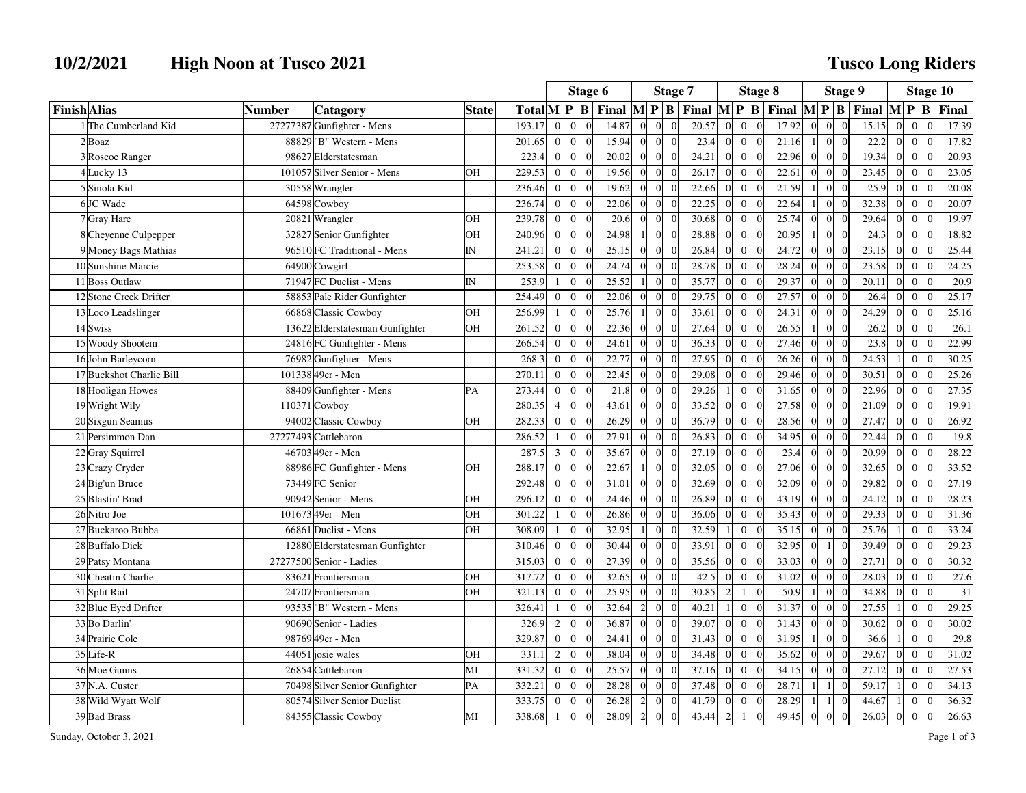## **10/2/2021 High Noon at Tusco 2021**

## **Tusco Long Riders**

|                          |                                 |              |                                                  | Stage 6                 |                |                | Stage 7 |                 |                                   |       |                | <b>Stage 8</b>   | <b>Stage 9</b>                                                                                                             |                                  |                |                                                       |                  | <b>Stage 10</b>                  |                    |
|--------------------------|---------------------------------|--------------|--------------------------------------------------|-------------------------|----------------|----------------|---------|-----------------|-----------------------------------|-------|----------------|------------------|----------------------------------------------------------------------------------------------------------------------------|----------------------------------|----------------|-------------------------------------------------------|------------------|----------------------------------|--------------------|
| <b>Finish</b> Alias      | <b>Number</b><br>Catagory       | <b>State</b> | $\text{Total} \mathbf{M} \mathbf{P} \mathbf{B} $ |                         |                |                |         |                 |                                   |       |                |                  | Final $\mathbf{M} \mathbf{P} \mathbf{B}$ Final $\mathbf{M} \mathbf{P} \mathbf{B}$ Final $\mathbf{M} \mathbf{P} \mathbf{B}$ |                                  |                | Final $\begin{bmatrix} M & P & B \end{bmatrix}$ Final |                  |                                  |                    |
| 1 The Cumberland Kid     | 27277387 Gunfighter - Mens      |              | 193.17                                           | $\Omega$                | $\Omega$       | $\Omega$       | 14.87   | $\overline{0}$  | $\overline{0}$<br>$\overline{0}$  | 20.57 | $\Omega$       | $\overline{0}$   | $\Omega$<br>17.92                                                                                                          | $\mathbf{0}$<br>$\theta$         | $\overline{0}$ | 15.15                                                 | $\overline{0}$   | $\Omega$<br>$\Omega$             | 17.39              |
| $2$ Boaz                 | 88829 "B" Western - Mens        |              | 201.65                                           | $\mathbf{0}$            | $\overline{0}$ | $\sqrt{ }$     | 15.94   | $\overline{0}$  | $\overline{0}$<br>$\mathbf{0}$    | 23.4  | $\Omega$       | $\boldsymbol{0}$ | 21.16<br>$\Omega$                                                                                                          | $\mathbf{0}$<br>$\mathbf{1}$     | $\overline{0}$ | 22.2                                                  | $\overline{0}$   | $\overline{0}$<br>$\Omega$       | 17.82              |
| 3 Roscoe Ranger          | 98627 Elderstatesman            |              | 223.4                                            | $\overline{0}$          | $\Omega$       | $\Omega$       | 20.02   | $\overline{0}$  | $\overline{0}$<br>$\overline{0}$  | 24.21 | $\Omega$       | $\overline{0}$   | 22.96<br>$\Omega$                                                                                                          | $\overline{0}$<br>$\Omega$       | $\Omega$       | 19.34                                                 | $\overline{0}$   | $\overline{0}$<br>$\Omega$       | 20.93              |
| 4Lucky 13                | 101057 Silver Senior - Mens     | OН           | 229.53                                           | $\overline{0}$          | $\Omega$       | $\Omega$       | 19.56   | $\overline{0}$  | $\overline{0}$<br>$\overline{0}$  | 26.17 | $\Omega$       | $\overline{0}$   | 22.61<br>$\Omega$                                                                                                          | $\overline{0}$<br>ſ              | $\Omega$       | 23.45                                                 | $\overline{0}$   | $\Omega$<br>$\Omega$             | 23.05              |
| 5 Sinola Kid             | 30558 Wrangler                  |              | 236.46                                           | $\theta$                | $\overline{0}$ | $\Omega$       | 19.62   | $\overline{0}$  | $\vert$ 0<br>$\theta$             | 22.66 | $\Omega$       | $\overline{0}$   | 21.59                                                                                                                      | $\theta$                         | $\Omega$       | 25.9                                                  | $\overline{0}$   | $\Omega$                         | 20.08              |
| 6JC Wade                 | 64598 Cowboy                    |              | 236.74                                           | $\Omega$                | $\Omega$       | $\sqrt{ }$     | 22.06   | $\Omega$        | $\Omega$<br>$\Omega$              | 22.25 | $\Omega$       | $\theta$         | 22.64<br>$\Omega$                                                                                                          | $\Omega$                         | $\Omega$       | 32.38                                                 | $\overline{0}$   | $\Omega$<br>$\Omega$             | 20.07              |
| 7 Gray Hare              | 20821 Wrangler                  | OН           | 239.78                                           | $\mathbf{0}$            | $\overline{0}$ | $\sqrt{ }$     | 20.6    | $\overline{0}$  | $\mathbf{0}$<br>$\vert 0 \vert$   | 30.68 | $\Omega$       | $\boldsymbol{0}$ | 25.74                                                                                                                      | $\boldsymbol{0}$<br>$\Omega$     | $\Omega$       | 29.64                                                 | $\boldsymbol{0}$ | $\overline{0}$<br>$\Omega$       | 19.97              |
| 8 Cheyenne Culpepper     | 32827 Senior Gunfighter         | OН           | 240.96                                           | $\overline{0}$          | $\overline{0}$ | $\Omega$       | 24.98   | $1\vert$        | $\overline{0}$<br>$\mathbf{0}$    | 28.88 |                | $\boldsymbol{0}$ | 20.95                                                                                                                      | $\mathbf{0}$                     | $\Omega$       | 24.3                                                  | $\overline{0}$   | $\overline{0}$<br>$\overline{0}$ | 18.82              |
| 9 Money Bags Mathias     | 96510 FC Traditional - Mens     | IN           | 241.21                                           | $\overline{0}$          | $\overline{0}$ | $\Omega$       | 25.15   | $\overline{0}$  | $\overline{0}$<br>$\overline{0}$  | 26.84 | $\Omega$       | $\overline{0}$   | 24.72<br>$\Omega$                                                                                                          | $\mathbf{0}$<br>$\Omega$         | $\Omega$       | 23.15                                                 | $\overline{0}$   | $\overline{0}$<br>$\Omega$       | 25.44              |
| 10 Sunshine Marcie       | 64900 Cowgirl                   |              | 253.58                                           | $\mathbf{0}$            | $\overline{0}$ | $\bigcap$      | 24.74   | $\overline{0}$  | $\vert 0 \vert$<br>$\overline{0}$ | 28.78 | $\Omega$       | $\boldsymbol{0}$ | 28.24                                                                                                                      | $\overline{0}$<br>$\Omega$       |                | 23.58                                                 | $\boldsymbol{0}$ | $\overline{0}$                   | 24.25              |
| 11 Boss Outlaw           | 71947 FC Duelist - Mens         | IN           | 253.9                                            |                         | $\Omega$       | $\Omega$       | 25.52   | $\mathbf{1}$    | $\overline{0}$<br>$\vert$ 0       | 35.77 | $\Omega$       | $\overline{0}$   | 29.37                                                                                                                      | $\overline{0}$<br>$\Omega$       |                | 20.11                                                 | $\boldsymbol{0}$ | $\overline{0}$<br>$\Omega$       | 20.9               |
| 12 Stone Creek Drifter   | 58853 Pale Rider Gunfighter     |              | 254.49                                           | $\mathbf{0}$            | $\overline{0}$ | $\overline{0}$ | 22.06   | $\overline{0}$  | $\overline{0}$<br>$\overline{0}$  | 29.75 | $\overline{0}$ | $\boldsymbol{0}$ | 27.57<br>$\Omega$                                                                                                          | $\overline{0}$<br>$\overline{0}$ | $\overline{0}$ | 26.4                                                  | $\mathbf{0}$     | $\overline{0}$<br>$\Omega$       | 25.17              |
| 13 Loco Leadslinger      | 66868 Classic Cowboy            | OН           | 256.99                                           | $\mathbf{1}$            | $\overline{0}$ | $\sqrt{ }$     | 25.76   | 1 <sup>1</sup>  | $\overline{0}$<br>$\overline{0}$  | 33.61 | $\Omega$       | $\boldsymbol{0}$ | 24.31<br>$\Omega$                                                                                                          | $\overline{0}$<br>$\epsilon$     | $\Omega$       | 24.29                                                 | $\overline{0}$   | $\overline{0}$<br>$\Omega$       | 25.16              |
| 14 Swiss                 | 13622 Elderstatesman Gunfighter | OН           | 261.52                                           | $\overline{0}$          | $\Omega$       | $\Omega$       | 22.36   | $\overline{0}$  | $\overline{0}$<br>$\overline{0}$  | 27.64 | $\Omega$       | $\overline{0}$   | 26.55<br>$\Omega$                                                                                                          | $\overline{0}$                   | $\Omega$       | 26.2                                                  | $\overline{0}$   | $\overline{0}$<br>$\theta$       | 26.1               |
| 15 Woody Shootem         | 24816 FC Gunfighter - Mens      |              | 266.54                                           | $\theta$                | $\overline{0}$ | $\bigcap$      | 24.61   | $\overline{0}$  | $\overline{0}$<br>$\overline{0}$  | 36.33 | $\Omega$       | $\boldsymbol{0}$ | 27.46                                                                                                                      | $\overline{0}$<br>$\epsilon$     | $\Omega$       | 23.8                                                  | $\overline{0}$   | $\overline{0}$                   | 22.99              |
| 16 John Barleycorn       | 76982 Gunfighter - Mens         |              | 268.3                                            | $\mathbf{0}$            | $\Omega$       | $\sqrt{ }$     | 22.77   | $\overline{0}$  | $\overline{0}$<br>$\overline{0}$  | 27.95 | $\Omega$       | $\theta$         | 26.26                                                                                                                      | $\overline{0}$<br>$\sqrt{ }$     | $\Omega$       | 24.53                                                 | $\overline{1}$   | $\overline{0}$<br>$\Omega$       | 30.25              |
| 17 Buckshot Charlie Bill | 101338 49er - Men               |              | 270.11                                           | $\overline{0}$          | $\overline{0}$ | $\Omega$       | 22.45   | $\overline{0}$  | $\overline{0}$<br>$\overline{0}$  | 29.08 | $\Omega$       | $\overline{0}$   | 29.46<br>$\Omega$                                                                                                          | $\overline{0}$<br>$\Omega$       | $\Omega$       | 30.51                                                 | $\overline{0}$   | $\overline{0}$<br>$\Omega$       | 25.26              |
| 18 Hooligan Howes        | 88409 Gunfighter - Mens         | PA           | 273.44                                           | $\mathbf{0}$            | $\overline{0}$ | $\sqrt{ }$     | 21.8    | $\overline{0}$  | $\overline{0}$<br>$\overline{0}$  | 29.26 |                | $\boldsymbol{0}$ | 31.65                                                                                                                      | $\theta$<br>$\Omega$             |                | 22.96                                                 | $\boldsymbol{0}$ | $\overline{0}$                   | 27.35              |
| 19 Wright Wily           | $110371$ Cowboy                 |              | 280.35                                           | $\overline{\mathbf{A}}$ | $\Omega$       | $\sqrt{ }$     | 43.61   | $\overline{0}$  | $\Omega$<br>$\Omega$              | 33.52 | $\Omega$       | $\overline{0}$   | $\Omega$<br>27.58                                                                                                          | $\Omega$<br>$\Omega$             | $\Omega$       | 21.09                                                 | $\mathbf{0}$     | $\overline{0}$<br>$\Omega$       | 19.91              |
| 20 Sixgun Seamus         | 94002 Classic Cowboy            | OН           | 282.33                                           | $\theta$                | $\Omega$       | $\bigcap$      | 26.29   | $\overline{0}$  | $\overline{0}$<br>$\overline{0}$  | 36.79 | $\Omega$       | $\overline{0}$   | 28.56<br>$\Omega$                                                                                                          | $\overline{0}$<br>$\epsilon$     |                | 27.47                                                 | $\overline{0}$   | $\Omega$<br>$\Omega$             | 26.92              |
| 21 Persimmon Dan         | 27277493 Cattlebaron            |              | 286.52                                           | $\mathbf{1}$            | $\overline{0}$ | $\bigcap$      | 27.91   | $\overline{0}$  | $\overline{0}$<br>$\overline{0}$  | 26.83 | $\Omega$       | $\theta$         | 34.95                                                                                                                      | $\overline{0}$<br>$\Omega$       |                | 22.44                                                 | $\overline{0}$   | $\overline{0}$<br>$\Omega$       | 19.8               |
| 22 Gray Squirrel         | 46703 49er - Men                |              | 287.5                                            | 3                       | $\Omega$       | $\Omega$       | 35.67   | $\Omega$        | $\Omega$<br>$\overline{0}$        | 27.19 | $\Omega$       | $\theta$         | 23.4<br>$\Omega$                                                                                                           | $\theta$<br>$\Omega$             | $\Omega$       | 20.99                                                 | $\overline{0}$   | $\Omega$<br>$\Omega$             | 28.22              |
| 23 Crazy Cryder          | 88986 FC Gunfighter - Mens      | OН           | 288.17                                           | $\overline{0}$          | $\overline{0}$ | $\Omega$       | 22.67   | $1\vert$        | $\overline{0}$<br>$\overline{0}$  | 32.05 | $\Omega$       | $\boldsymbol{0}$ | 27.06<br>$\Omega$                                                                                                          | $\mathbf{0}$<br>$\Omega$         | $\Omega$       | 32.65                                                 | $\vert 0 \vert$  | $\overline{0}$                   | 33.52              |
| 24 Big'un Bruce          | 73449 FC Senior                 |              | 292.48                                           | $\overline{0}$          | $\Omega$       | $\Omega$       | 31.01   | $\overline{0}$  | $\overline{0}$<br>$\overline{0}$  | 32.69 |                | $\boldsymbol{0}$ | 32.09<br>$\Omega$                                                                                                          | $\overline{0}$<br>$\sqrt{ }$     | $\Omega$       | 29.82                                                 | $\boldsymbol{0}$ | $\overline{0}$<br>$\Omega$       | $\overline{27.19}$ |
| 25 Blastin' Brad         | 90942 Senior - Mens             | OН           | 296.12                                           | $\overline{0}$          | $\overline{0}$ | $\Omega$       | 24.46   | $\overline{0}$  | $\overline{0}$<br>$\overline{0}$  | 26.89 | $\Omega$       | $\mathbf{0}$     | 43.19<br>$\Omega$                                                                                                          | $\overline{0}$<br>$\Omega$       | $\Omega$       | 24.12                                                 | $\overline{0}$   | $\overline{0}$<br>$\Omega$       | 28.23              |
| 26 Nitro Joe             | 10167349er - Men                | OН           | 301.22                                           | $\overline{1}$          | $\overline{0}$ | $\Omega$       | 26.86   | $\overline{0}$  | $\overline{0}$<br>$\overline{0}$  | 36.06 | $\Omega$       | $\boldsymbol{0}$ | 35.43                                                                                                                      | $\overline{0}$<br>$\epsilon$     |                | 29.33                                                 | $\boldsymbol{0}$ | $\overline{0}$                   | 31.36              |
| 27 Buckaroo Bubba        | 66861 Duelist - Mens            | OН           | 308.09                                           | $\mathbf{1}$            | $\Omega$       | $\Omega$       | 32.95   | $\vert$         | $\overline{0}$<br>$\overline{0}$  | 32.59 | $\overline{1}$ | $\boldsymbol{0}$ | 35.15<br>$\Omega$                                                                                                          | $\overline{0}$<br>$\Omega$       | $\Omega$       | 25.76                                                 | $\mathbf{1}$     | $\overline{0}$<br>$\Omega$       | 33.24              |
| 28 Buffalo Dick          | 12880 Elderstatesman Gunfighter |              | 310.46                                           | $\mathbf{0}$            | $\overline{0}$ | $\sqrt{ }$     | 30.44   | $\overline{0}$  | $\overline{0}$<br>$\overline{0}$  | 33.91 | $\Omega$       | $\boldsymbol{0}$ | 32.95<br>$\Omega$                                                                                                          | $\mathbf{1}$<br>$\Omega$         | $\overline{0}$ | 39.49                                                 | $\overline{0}$   | $\overline{0}$                   | 29.23              |
| 29 Patsy Montana         | 27277500 Senior - Ladies        |              | 315.03                                           | $\mathbf{0}$            | $\overline{0}$ | $\Omega$       | 27.39   | $\overline{0}$  | $\overline{0}$<br>$\overline{0}$  | 35.56 | $\Omega$       | $\boldsymbol{0}$ | 33.03<br>$\Omega$                                                                                                          | $\overline{0}$<br>$\Omega$       | $\Omega$       | 27.71                                                 | $\overline{0}$   | $\overline{0}$<br>$\Omega$       | 30.32              |
| 30 Cheatin Charlie       | 83621 Frontiersman              | OН           | 317.72                                           | $\overline{0}$          | $\Omega$       | $\sqrt{ }$     | 32.65   | $\overline{0}$  | $\overline{0}$<br>$\overline{0}$  | 42.5  | $\Omega$       | $\mathbf{0}$     | 31.02<br>$\Omega$                                                                                                          | $\overline{0}$<br>$\Omega$       | $\Omega$       | 28.03                                                 | $\overline{0}$   | $\overline{0}$<br>$\overline{0}$ | 27.6               |
| 31 Split Rail            | 24707 Frontiersman              | OН           | 321.13                                           | $\theta$                | $\overline{0}$ |                | 25.95   | $\overline{0}$  | $\overline{0}$<br>$\overline{0}$  | 30.85 | $\overline{2}$ | $\mathbf{1}$     | 50.9<br>$\Omega$                                                                                                           | $\theta$                         |                | 34.88                                                 | $\overline{0}$   | $\overline{0}$<br>$\overline{0}$ | 31                 |
| 32 Blue Eyed Drifter     | 93535 "B" Western - Mens        |              | 326.41                                           |                         | $\overline{0}$ | $\bigcap$      | 32.64   | $\overline{2}$  | $\overline{0}$<br>$\overline{0}$  | 40.21 |                | $\overline{0}$   | 31.37<br>$\Omega$                                                                                                          | $\overline{0}$<br>$\Omega$       |                | 27.55                                                 | $\mathbf{1}$     | $\overline{0}$<br>$\Omega$       | 29.25              |
| 33 Bo Darlin'            | 90690 Senior - Ladies           |              | 326.9                                            | $\overline{2}$          | $\overline{0}$ | $\Omega$       | 36.87   | $\vert$ 0       | $\overline{0}$<br>$\overline{0}$  | 39.07 | $\Omega$       | $\overline{0}$   | 31.43<br>$\Omega$                                                                                                          | $\overline{0}$<br>$\Omega$       | $\Omega$       | 30.62                                                 | $\overline{0}$   | $\overline{0}$<br>$\Omega$       | 30.02              |
| 34 Prairie Cole          | 98769 49er - Men                |              | 329.87                                           | $\mathbf{0}$            | $\overline{0}$ | $\Omega$       | 24.41   | $\vert 0 \vert$ | $\overline{0}$<br>$\overline{0}$  | 31.43 | $\Omega$       | $\boldsymbol{0}$ | 31.95<br>$\Omega$                                                                                                          | $\overline{0}$                   | $\Omega$       | 36.6                                                  | 1                | $\overline{0}$<br>$\Omega$       | 29.8               |
| 35 Life-R                | 44051 josie wales               | OН           | 331.1                                            | $\overline{c}$          | $\Omega$       | $\sqrt{ }$     | 38.04   | $\overline{0}$  | $\overline{0}$<br>$\overline{0}$  | 34.48 | $\Omega$       | $\mathbf{0}$     | 35.62<br>$\Omega$                                                                                                          | $\Omega$<br>$\Omega$             | $\Omega$       | 29.67                                                 | $\overline{0}$   | $\overline{0}$<br>$\Omega$       | 31.02              |
| 36 Moe Gunns             | 26854 Cattlebaron               | МI           | 331.32                                           | $\theta$                | $\overline{0}$ | $\bigcap$      | 25.57   | $\overline{0}$  | $\overline{0}$<br>$\overline{0}$  | 37.16 | $\Omega$       | $\mathbf{0}$     | 34.15<br>$\Omega$                                                                                                          | $\overline{0}$<br>$\Omega$       | $\Omega$       | 27.12                                                 | $\overline{0}$   | $\Omega$                         | 27.53              |
| 37 N.A. Custer           | 70498 Silver Senior Gunfighter  | PA           | 332.21                                           | $\mathbf{0}$            | $\Omega$       | $\Omega$       | 28.28   | $\overline{0}$  | $\Omega$<br>$\overline{0}$        | 37.48 | $\Omega$       | $\boldsymbol{0}$ | 28.71                                                                                                                      | $\mathbf{1}$                     |                | 59.17                                                 | $\mathbf{1}$     | $\Omega$                         | 34.13              |
| 38 Wild Wyatt Wolf       | 80574 Silver Senior Duelist     |              | 333.75                                           | $\mathbf{0}$            | $\Omega$       | $\Omega$       | 26.28   | $\overline{2}$  | $\theta$<br>$\Omega$              | 41.79 | $\Omega$       | $\boldsymbol{0}$ | 28.29<br>$\Omega$                                                                                                          | $\mathbf{1}$                     | $\Omega$       | 44.67                                                 | -1               | $\Omega$<br>$\Omega$             | 36.32              |
| 39 Bad Brass             | 84355 Classic Cowboy            | МI           | 338.68                                           | $\mathbf{1}$            | $\overline{0}$ | $\overline{0}$ | 28.09   | $\overline{2}$  | $\overline{0}$<br>$\vert 0 \vert$ | 43.44 | $\overline{2}$ | $\mathbf{1}$     | 49.45<br>$\theta$                                                                                                          | $\mathbf{0}$<br>$\overline{0}$   | $\overline{0}$ | 26.03                                                 | $\boldsymbol{0}$ | $\overline{0}$<br>$\overline{0}$ | 26.63              |

Sunday, October 3, 2021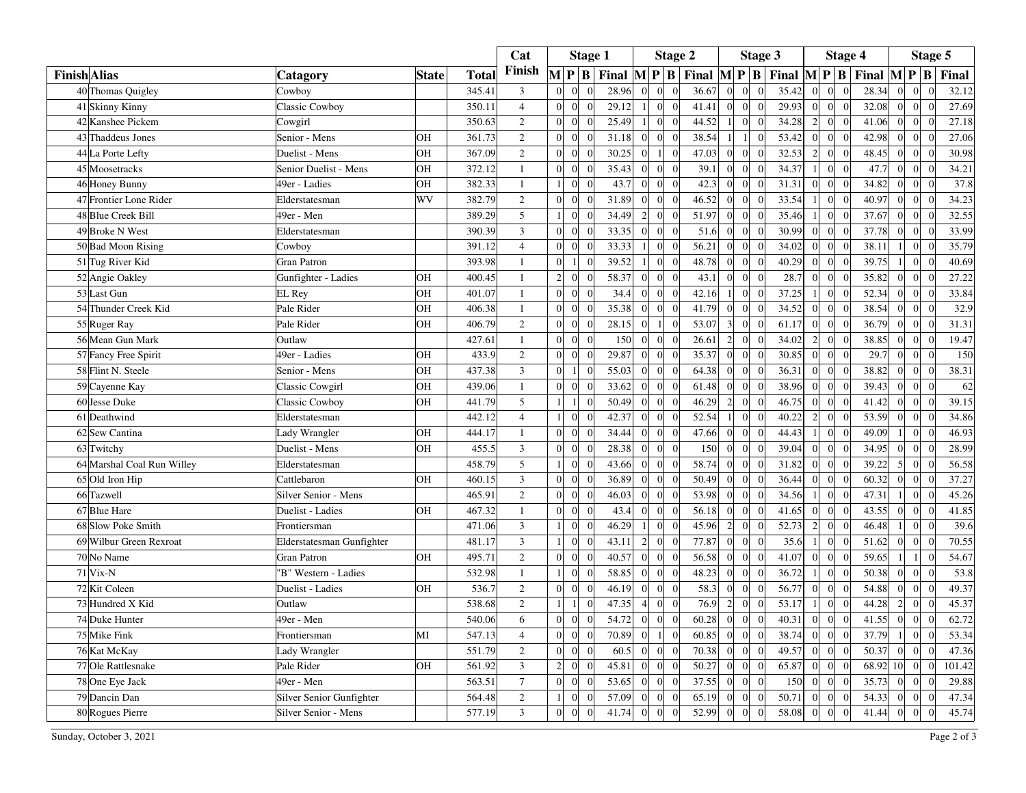|                     |                            |                           |              |              | Cat            |                | <b>Stage 1</b>   |                |                                          | <b>Stage 2</b> |                                  |       |                  | Stage 3         |                |       | <b>Stage 4</b> |                                   |                                                                                                                            |                | Stage 5                           |        |  |  |
|---------------------|----------------------------|---------------------------|--------------|--------------|----------------|----------------|------------------|----------------|------------------------------------------|----------------|----------------------------------|-------|------------------|-----------------|----------------|-------|----------------|-----------------------------------|----------------------------------------------------------------------------------------------------------------------------|----------------|-----------------------------------|--------|--|--|
| <b>Finish</b> Alias |                            | Catagorv                  | <b>State</b> | <b>Total</b> | Finish         |                |                  | $M$ $P$ $B$    | Final $\mathbf{M} \mathbf{P} \mathbf{B}$ |                |                                  |       |                  |                 |                |       |                |                                   | Final $\mathbf{M} \mathbf{P} \mathbf{B}$ Final $\mathbf{M} \mathbf{P} \mathbf{B}$ Final $\mathbf{M} \mathbf{P} \mathbf{B}$ |                |                                   | Final  |  |  |
|                     | 40 Thomas Quigley          | Cowboy                    |              | 345.41       | $\mathfrak{Z}$ | $\Omega$       | $\Omega$         |                | 28.96                                    | $\Omega$       |                                  | 36.67 | $\mathbf{0}$     | $\Omega$        | $\Omega$       | 35.42 | $\Omega$       | $\boldsymbol{0}$<br>$\Omega$      | 28.34                                                                                                                      |                | $\mathbf{0}$                      | 32.12  |  |  |
|                     | 41 Skinny Kinny            | <b>Classic Cowboy</b>     |              | 350.11       | $\overline{4}$ | $\Omega$       | $\mathbf{0}$     |                | 29.12                                    |                | $\Omega$<br>$\Omega$             | 41.41 | $\boldsymbol{0}$ | $\vert$ 0       | $\mathbf{0}$   | 29.93 | $\Omega$       | $\overline{0}$<br>$\Omega$        | 32.08                                                                                                                      | $\Omega$       | $\overline{0}$<br>$\Omega$        | 27.69  |  |  |
|                     | 42 Kanshee Pickem          | Cowgirl                   |              | 350.63       | 2              | $\Omega$       | $\Omega$         |                | 25.49                                    | $\overline{1}$ | $\Omega$<br>$\Omega$             | 44.52 | -1               | $\Omega$        | $\theta$       | 34.28 | $\overline{2}$ | $\boldsymbol{0}$<br>$\Omega$      | 41.06                                                                                                                      | $\Omega$       | $\overline{0}$<br>$\Omega$        | 27.18  |  |  |
|                     | 43 Thaddeus Jones          | Senior - Mens             | OH           | 361.73       | $\overline{2}$ | $\Omega$       | $\boldsymbol{0}$ | $\Omega$       | 31.18                                    | $\overline{0}$ | $\Omega$<br>$\bigcap$            | 38.54 | $\mathbf{1}$     | $\vert$ 1       | $\overline{0}$ | 53.42 | $\overline{0}$ | $\mathbf{0}$<br>$\overline{0}$    | 42.98                                                                                                                      | $\vert$ 0      | $\overline{0}$                    | 27.06  |  |  |
|                     | 44 La Porte Lefty          | Duelist - Mens            | OH           | 367.09       | $\sqrt{2}$     | $\Omega$       | $\mathbf{0}$     |                | 30.25                                    | $\Omega$       | $\Omega$                         | 47.03 | $\boldsymbol{0}$ | $\overline{0}$  | $\overline{0}$ | 32.53 | $\overline{2}$ | $\boldsymbol{0}$<br>$\mathbf{0}$  | 48.45                                                                                                                      | $\Omega$       | $\overline{0}$                    | 30.98  |  |  |
|                     | 45 Moosetracks             | Senior Duelist - Mens     | OH           | 372.12       | $\mathbf{1}$   | $\Omega$       | $\boldsymbol{0}$ |                | 35.43                                    | $\Omega$       | $\Omega$                         | 39.1  | $\overline{0}$   | $\overline{0}$  | $\theta$       | 34.37 |                | $\boldsymbol{0}$<br>$\Omega$      | 47.7                                                                                                                       | $\Omega$       | $\vert$ 0                         | 34.21  |  |  |
|                     | 46 Honey Bunny             | 49er - Ladies             | OH           | 382.33       | $\mathbf{1}$   | $\overline{1}$ | $\mathbf{0}$     | $\Omega$       | 43.7                                     | $\overline{0}$ | $\Omega$<br>$\Omega$             | 42.3  | $\overline{0}$   | $\overline{0}$  | $\overline{0}$ | 31.31 | $\overline{0}$ | $\overline{0}$<br>$\overline{0}$  | 34.82                                                                                                                      | $\vert$ 0      | $\overline{0}$<br>$\overline{0}$  | 37.8   |  |  |
|                     | 47 Frontier Lone Rider     | Elderstatesman            | WV           | 382.79       | $\sqrt{2}$     | $\Omega$       | $\theta$         |                | 31.89                                    | $\Omega$       |                                  | 46.52 | $\boldsymbol{0}$ | $\overline{0}$  | $\overline{0}$ | 33.54 |                | $\mathbf{0}$<br>$\Omega$          | 40.97                                                                                                                      | $\Omega$       | $\overline{0}$                    | 34.23  |  |  |
|                     | 48 Blue Creek Bill         | 49er - Men                |              | 389.29       | 5              | $\overline{1}$ | $\mathbf{0}$     |                | 34.49                                    | $\overline{c}$ | $\sqrt{ }$<br>$\Omega$           | 51.97 | $\overline{0}$   | $\overline{0}$  | $\overline{0}$ | 35.46 | 1 <sup>1</sup> | $\vert 0 \vert$<br>$\mathbf{0}$   | 37.67                                                                                                                      | $\Omega$       | $\overline{0}$<br>$\Omega$        | 32.55  |  |  |
|                     | 49 Broke N West            | Elderstatesman            |              | 390.39       | 3              | $\Omega$       | $\mathbf{0}$     |                | 33.35                                    | $\Omega$       | $\sqrt{ }$<br>$\Omega$           | 51.6  | $\overline{0}$   | $\Omega$        | $\Omega$       | 30.99 | $\Omega$       | $\theta$<br>$\Omega$              | 37.78                                                                                                                      | $\Omega$       | $\vert$ 0<br>$\Omega$             | 33.99  |  |  |
|                     | 50 Bad Moon Rising         | Cowboy                    |              | 391.12       | $\overline{4}$ | $\overline{0}$ | $\boldsymbol{0}$ | $\overline{0}$ | 33.33                                    | $\overline{1}$ | $\overline{0}$<br>$\sqrt{ }$     | 56.21 | $\boldsymbol{0}$ | $\vert 0 \vert$ | $\overline{0}$ | 34.02 | $\overline{0}$ | $\mathbf{0}$<br>$\overline{0}$    | 38.11                                                                                                                      | $\vert$ 1      | $\overline{0}$<br>$\theta$        | 35.79  |  |  |
|                     | 51 Tug River Kid           | Gran Patron               |              | 393.98       | 1              | $\Omega$       |                  |                | 39.52                                    |                | $\sqrt{ }$<br>$\Omega$           | 48.78 | $\overline{0}$   | $\Omega$        | $\Omega$       | 40.29 | $\Omega$       | $\mathbf{0}$<br>$\Omega$          | 39.75                                                                                                                      |                | $\overline{0}$<br>$\Omega$        | 40.69  |  |  |
|                     | 52 Angie Oakley            | Gunfighter - Ladies       | OH           | 400.45       | $\mathbf{1}$   | $\overline{c}$ | $\boldsymbol{0}$ |                | 58.37                                    | $\overline{0}$ | $\Omega$<br>$\overline{0}$       | 43.1  | $\overline{0}$   | $\overline{0}$  | $\overline{0}$ | 28.7  | $\overline{0}$ | $\overline{0}$<br>$\theta$        | 35.82                                                                                                                      | $\vert$ 0      | $\overline{0}$                    | 27.22  |  |  |
|                     | 53 Last Gun                | EL Rey                    | OH           | 401.07       | $\mathbf{1}$   | $\Omega$       | $\Omega$         | $\Omega$       | 34.4                                     | $\Omega$       | $\sqrt{ }$<br>$\Omega$           | 42.16 | $\mathbf{1}$     | $\Omega$        | $\theta$       | 37.25 | $\overline{1}$ | $\mathbf{0}$<br>$\Omega$          | 52.34                                                                                                                      | $\Omega$       | $\vert$ 0<br>$\Omega$             | 33.84  |  |  |
|                     | 54 Thunder Creek Kid       | Pale Rider                | OH           | 406.38       | $\mathbf{1}$   | $\Omega$       | $\overline{0}$   |                | 35.38                                    | $\Omega$       | $\sqrt{ }$                       | 41.79 | $\mathbf{0}$     | $\overline{0}$  | $\overline{0}$ | 34.52 | $\theta$       | $\mathbf{0}$<br>$\overline{0}$    | 38.54                                                                                                                      | $\vert$ 0      | $\overline{0}$<br>$\theta$        | 32.9   |  |  |
|                     | 55 Ruger Ray               | Pale Rider                | OH           | 406.79       | $\overline{2}$ | $\Omega$       | $\Omega$         |                | 28.15                                    | $\Omega$       | $\Omega$                         | 53.07 | $\overline{3}$   | $\overline{0}$  | $\theta$       | 61.17 | $\Omega$       | $\overline{0}$<br>$\Omega$        | 36.79                                                                                                                      | $\Omega$       | $\vert$ 0<br>$\theta$             | 31.31  |  |  |
|                     | 56 Mean Gun Mark           | Outlaw                    |              | 427.61       | $\mathbf{1}$   | $\Omega$       | $\mathbf{0}$     | $\Omega$       | 150                                      | $\overline{0}$ | $\overline{0}$<br>$\Omega$       | 26.61 | $\overline{c}$   | $\overline{0}$  | $\overline{0}$ | 34.02 | $\overline{2}$ | $\boldsymbol{0}$<br>$\Omega$      | 38.85                                                                                                                      | $\Omega$       | $\vert 0 \vert$<br>$\Omega$       | 19.47  |  |  |
|                     | 57 Fancy Free Spirit       | 49er - Ladies             | OH           | 433.9        | $\overline{2}$ | $\Omega$       | $\mathbf{0}$     | $\Omega$       | 29.87                                    | $\overline{0}$ | $\overline{0}$<br>$\sqrt{ }$     | 35.37 | $\mathbf{0}$     | $\overline{0}$  | $\overline{0}$ | 30.85 | $\overline{0}$ | $\vert 0 \vert$<br>$\overline{0}$ | 29.7                                                                                                                       | $\overline{0}$ | $\vert 0 \vert$<br>$\overline{0}$ | 150    |  |  |
|                     | 58 Flint N. Steele         | Senior - Mens             | OH           | 437.38       | 3              | $\Omega$       |                  |                | 55.03                                    | $\Omega$       |                                  | 64.38 | $\overline{0}$   | $\overline{0}$  | $\Omega$       | 36.31 | $\Omega$       | $\mathbf{0}$<br>$\Omega$          | 38.82                                                                                                                      | $\Omega$       | $\overline{0}$<br>$\Omega$        | 38.31  |  |  |
|                     | 59 Cayenne Kay             | Classic Cowgirl           | OH           | 439.06       | $\mathbf{1}$   | $\Omega$       | $\mathbf{0}$     |                | 33.62                                    | $\Omega$       | $\sqrt{ }$<br>$\Omega$           | 61.48 | $\overline{0}$   | $\overline{0}$  | $\overline{0}$ | 38.96 | $\Omega$       | $\mathbf{0}$<br>$\Omega$          | 39.43                                                                                                                      | $\Omega$       | $\vert 0 \vert$<br>$\theta$       | 62     |  |  |
|                     | 60 Jesse Duke              | <b>Classic Cowboy</b>     | OH           | 441.79       | 5              |                |                  |                | 50.49                                    | $\Omega$       | $\sqrt{ }$<br>$\Omega$           | 46.29 | $\overline{2}$   | $\overline{0}$  | $\overline{0}$ | 46.75 | $\Omega$       | $\overline{0}$<br>$\Omega$        | 41.42                                                                                                                      | $\vert$ 0      | $\vert$ 0<br>$\Omega$             | 39.15  |  |  |
|                     | 61 Deathwind               | Elderstatesman            |              | 442.12       | $\sqrt{4}$     |                | $\overline{0}$   |                | 42.37                                    | $\Omega$       | $\sqrt{ }$                       | 52.54 | $\frac{1}{2}$    | $\overline{0}$  | $\Omega$       | 40.22 | $\overline{2}$ | $\boldsymbol{0}$<br>$\Omega$      | 53.59                                                                                                                      | $\Omega$       | $\vert 0 \vert$                   | 34.86  |  |  |
|                     | 62 Sew Cantina             | Lady Wrangler             | OH           | 444.17       | $\mathbf{1}$   | $\Omega$       | $\mathbf{0}$     |                | 34.44                                    | $\theta$       | $\Omega$<br>$\Omega$             | 47.66 | $\overline{0}$   | $\overline{0}$  | $\overline{0}$ | 44.43 | $\overline{1}$ | $\overline{0}$<br>$\overline{0}$  | 49.09                                                                                                                      | $\vert$        | $\overline{0}$<br>$\Omega$        | 46.93  |  |  |
|                     | 63 Twitchy                 | Duelist - Mens            | OH           | 455.5        | $\overline{3}$ | $\Omega$       | $\mathbf{0}$     |                | 28.38                                    | $\Omega$       | $\Omega$                         | 150   | $\overline{0}$   | $\Omega$        | $\Omega$       | 39.04 | $\Omega$       | $\mathbf{0}$<br>$\Omega$          | 34.95                                                                                                                      | $\Omega$       | $\overline{0}$                    | 28.99  |  |  |
|                     | 64 Marshal Coal Run Willey | Elderstatesman            |              | 458.79       | 5              | $\vert$        | $\mathbf{0}$     | $\Omega$       | 43.66                                    | $\overline{0}$ | $\Omega$<br>$\Omega$             | 58.74 | $\mathbf{0}$     | $\overline{0}$  | $\overline{0}$ | 31.82 | $\overline{0}$ | $\mathbf{0}$<br>$\overline{0}$    | 39.22                                                                                                                      | 5              | $\overline{0}$<br>$\Omega$        | 56.58  |  |  |
|                     | 65 Old Iron Hip            | Cattlebaron               | OH           | 460.15       | $\mathfrak{Z}$ | $\Omega$       | $\mathbf{0}$     |                | 36.89                                    | $\Omega$       |                                  | 50.49 | $\overline{0}$   | $\Omega$        | $\theta$       | 36.44 | $\Omega$       | $\overline{0}$<br>$\Omega$        | 60.32                                                                                                                      | $\Omega$       | $\overline{0}$                    | 37.27  |  |  |
|                     | 66 Tazwell                 | Silver Senior - Mens      |              | 465.91       | $\mathbf{2}$   | $\Omega$       | $\mathbf{0}$     | $\Omega$       | 46.03                                    | $\overline{0}$ | $\bigcap$<br>$\Omega$            | 53.98 | $\overline{0}$   | $\vert 0 \vert$ | $\overline{0}$ | 34.56 | $\frac{1}{2}$  | $\mathbf{0}$<br>$\Omega$          | 47.31                                                                                                                      |                | $\overline{0}$<br>$\Omega$        | 45.26  |  |  |
|                     | 67 Blue Hare               | Duelist - Ladies          | OH           | 467.32       | $\mathbf{1}$   | $\Omega$       | $\Omega$         | $\Omega$       | 43.4                                     | $\Omega$       | $\Omega$<br>$\Omega$             | 56.18 | $\overline{0}$   | $\Omega$        | $\theta$       | 41.65 | $\Omega$       | $\mathbf{0}$<br>$\Omega$          | 43.55                                                                                                                      | $\Omega$       | $\overline{0}$<br>$\Omega$        | 41.85  |  |  |
|                     | 68 Slow Poke Smith         | Frontiersman              |              | 471.06       | $\mathfrak{Z}$ |                | $\boldsymbol{0}$ |                | 46.29                                    |                |                                  | 45.96 | $\overline{c}$   | $\overline{0}$  | $\overline{0}$ | 52.73 | $\overline{2}$ | $\boldsymbol{0}$<br>$\Omega$      | 46.48                                                                                                                      |                | $\overline{0}$                    | 39.6   |  |  |
|                     | 69 Wilbur Green Rexroat    | Elderstatesman Gunfighter |              | 481.17       | $\overline{3}$ |                | $\theta$         |                | 43.11                                    | 2              | $\Omega$<br>$\sqrt{ }$           | 77.87 | $\overline{0}$   | $\Omega$        | $\Omega$       | 35.6  | 1 <sup>1</sup> | $\overline{0}$<br>$\Omega$        | 51.62                                                                                                                      | $\Omega$       | $\overline{0}$<br>$\Omega$        | 70.55  |  |  |
|                     | 70 No Name                 | Gran Patron               | OH           | 495.71       | $\mathbf{2}$   | $\Omega$       | $\mathbf{0}$     |                | 40.57                                    | $\Omega$       | $\Omega$<br>$\Omega$             | 56.58 | $\overline{0}$   | $\overline{0}$  | $\overline{0}$ | 41.07 | $\Omega$       | $\mathbf{0}$<br>$\Omega$          | 59.65                                                                                                                      | $\frac{1}{2}$  | $\vert$ 1                         | 54.67  |  |  |
|                     | 71 Vix-N                   | 'B" Western - Ladies      |              | 532.98       | $\mathbf{1}$   | $\overline{1}$ | $\Omega$         | $\Omega$       | 58.85                                    | $\Omega$       | $\Omega$<br>$\Omega$             | 48.23 | $\overline{0}$   | $\Omega$        | $\theta$       | 36.72 | $\vert$ 1      | $\vert 0 \vert$<br>$\Omega$       | 50.38                                                                                                                      | $\Omega$       | $\vert 0 \vert$<br>$\theta$       | 53.8   |  |  |
|                     | 72 Kit Coleen              | Duelist - Ladies          | OH           | 536.7        | $\overline{2}$ | $\Omega$       | $\mathbf{0}$     |                | 46.19                                    | $\Omega$       | $\sqrt{ }$                       | 58.3  | $\boldsymbol{0}$ | $\Omega$        | $\Omega$       | 56.77 | $\Omega$       | $\overline{0}$<br>$\Omega$        | 54.88                                                                                                                      | $\Omega$       | $\overline{0}$<br>$\Omega$        | 49.37  |  |  |
|                     | 73 Hundred X Kid           | Outlaw                    |              | 538.68       | $\overline{2}$ | $\vert$ 1      |                  |                | 47.35                                    | $\overline{4}$ | $\Omega$<br>$\Omega$             | 76.9  | $\overline{2}$   | $\overline{0}$  | $\overline{0}$ | 53.17 | $\vert$        | $\mathbf{0}$<br>$\mathbf{0}$      | 44.28                                                                                                                      | $\overline{2}$ | $\vert 0 \vert$<br>$\overline{0}$ | 45.37  |  |  |
|                     | 74 Duke Hunter             | 49er - Men                |              | 540.06       | 6              | $\Omega$       | $\mathbf{0}$     |                | 54.72                                    | $\overline{0}$ | $\Omega$<br>$\Omega$             | 60.28 | $\overline{0}$   | $\overline{0}$  | $\overline{0}$ | 40.31 | $\Omega$       | $\mathbf{0}$<br>$\Omega$          | 41.55                                                                                                                      | $\Omega$       | $\vert$ 0<br>$\Omega$             | 62.72  |  |  |
|                     | 75 Mike Fink               | Frontiersman              | MI           | 547.13       | $\overline{4}$ | $\overline{0}$ | $\boldsymbol{0}$ | $\overline{0}$ | 70.89                                    | $\Omega$       | $\bigcap$                        | 60.85 | $\overline{0}$   | $\vert 0 \vert$ | $\bf{0}$       | 38.74 | $\overline{0}$ | $\mathbf{0}$<br>$\overline{0}$    | 37.79                                                                                                                      | -11            | $\overline{0}$<br>$\theta$        | 53.34  |  |  |
|                     | 76 Kat McKay               | Lady Wrangler             |              | 551.79       | 2              | $\Omega$       | $\mathbf{0}$     |                | 60.5                                     | $\Omega$       | $\Omega$<br>$\Omega$             | 70.38 | $\mathbf{0}$     | $\theta$        | $\Omega$       | 49.57 | $\Omega$       | $\overline{0}$<br>$\Omega$        | 50.37                                                                                                                      | $\Omega$       | $\overline{0}$<br>$\Omega$        | 47.36  |  |  |
|                     | 77 Ole Rattlesnake         | Pale Rider                | OH           | 561.92       | $\mathfrak{Z}$ | $\sqrt{2}$     | $\boldsymbol{0}$ |                | 45.81                                    | $\overline{0}$ | $\overline{0}$<br>$\overline{0}$ | 50.27 | $\overline{0}$   | $\vert$ 0       | $\overline{0}$ | 65.87 | $\overline{0}$ | $\mathbf{0}$<br>$\overline{0}$    | 68.92                                                                                                                      | 10             | $\vert 0 \vert$                   | 101.42 |  |  |
|                     | 78 One Eye Jack            | 49er - Men                |              | 563.51       | $\tau$         | $\Omega$       | $\Omega$         | $\Omega$       | 53.65                                    | $\Omega$       | $\Omega$<br>$\bigcap$            | 37.55 | $\overline{0}$   | $\Omega$        | $\theta$       | 150   | $\Omega$       | $\overline{0}$<br>$\mathbf{0}$    | 35.73                                                                                                                      | $\overline{0}$ | $\vert 0 \vert$<br>$\Omega$       | 29.88  |  |  |
|                     | 79 Dancin Dan              | Silver Senior Gunfighter  |              | 564.48       | $\sqrt{2}$     |                | $\overline{0}$   |                | 57.09                                    | $\sqrt{ }$     |                                  | 65.19 | $\boldsymbol{0}$ | $\theta$        | $\overline{0}$ | 50.71 | $\Omega$       | $\overline{0}$<br>$\Omega$        | 54.33                                                                                                                      | $\Omega$       | $\overline{0}$                    | 47.34  |  |  |
|                     | 80 Rogues Pierre           | Silver Senior - Mens      |              | 577.19       | $\overline{3}$ | $\Omega$       | $\mathbf{0}$     |                | 41.74                                    | $\Omega$       | $\Omega$<br>$\Omega$             | 52.99 | $\overline{0}$   | $\Omega$        | $\Omega$       | 58.08 | $\Omega$       | $\mathbf{0}$<br>$\Omega$          | 41.44                                                                                                                      | $\Omega$       | $\vert 0 \vert$<br>$\Omega$       | 45.74  |  |  |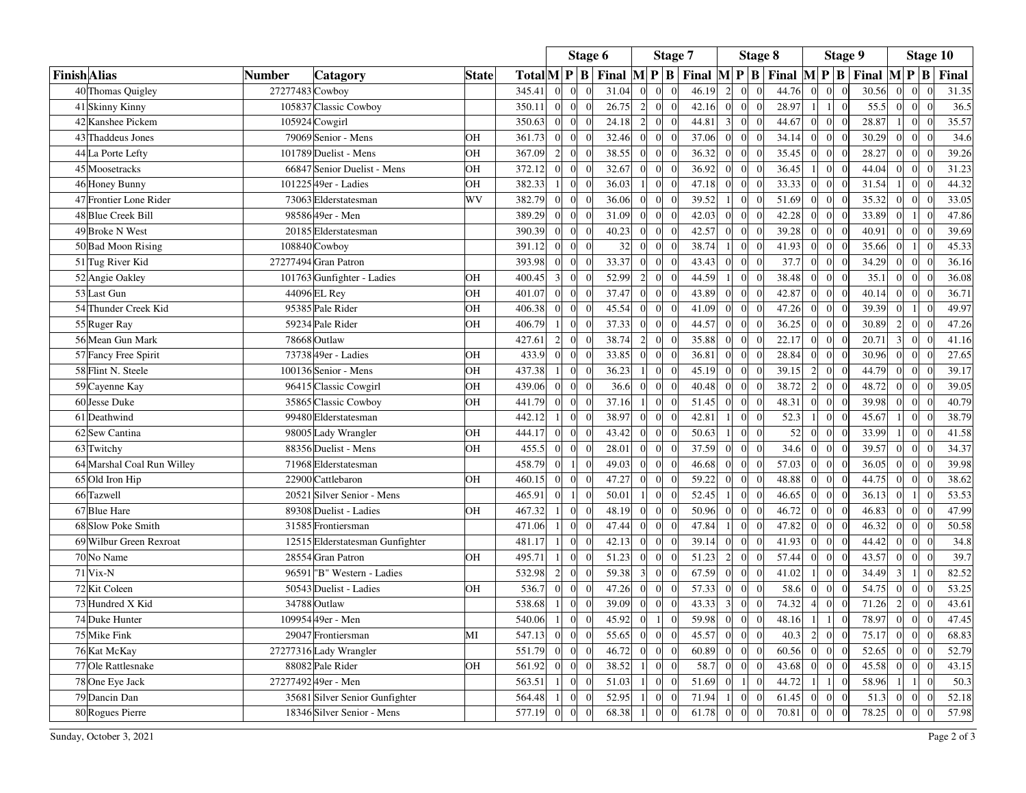|                     |                            |                                 |              |                  |                | Stage 6          |            |       |                  | Stage 7                            |       |                  | Stage 8                            |                                          |                  | Stage 9  |                                             |                  |                 | Stage 10       |       |
|---------------------|----------------------------|---------------------------------|--------------|------------------|----------------|------------------|------------|-------|------------------|------------------------------------|-------|------------------|------------------------------------|------------------------------------------|------------------|----------|---------------------------------------------|------------------|-----------------|----------------|-------|
| <b>Finish</b> Alias | <b>Number</b>              | Catagory                        | <b>State</b> | $TotalM$ $P$ $B$ |                |                  |            | Final |                  |                                    |       |                  |                                    | $ M P B $ Final $ M P B $ Final $ M P B$ |                  |          | Final $\left  M \right  P \left  B \right $ |                  |                 | Final          |       |
|                     | 40 Thomas Quigley          | 27277483 Cowboy                 |              | 345.41           | $\theta$       | $\mathbf{0}$     |            | 31.04 | $\boldsymbol{0}$ | $\overline{0}$<br>$\boldsymbol{0}$ | 46.19 | $\overline{2}$   | $\mathbf{0}$<br>$\overline{0}$     | 44.76                                    | $\boldsymbol{0}$ |          | 30.56                                       | $\overline{0}$   | $\overline{0}$  | $\overline{0}$ | 31.35 |
|                     | 41 Skinny Kinny            | 105837 Classic Cowboy           |              | 350.11           | $\Omega$       | $\Omega$         | $\epsilon$ | 26.75 | $\overline{2}$   | $\Omega$<br>$\Omega$               | 42.16 | $\Omega$         | $\overline{0}$<br>$\Omega$         | 28.97                                    | $\mathbf{1}$     | $\Omega$ | 55.5                                        | $\Omega$         | $\overline{0}$  | $\theta$       | 36.5  |
|                     | 42 Kanshee Pickem          | 105924 Cowgirl                  |              | 350.63           | $\overline{0}$ | $\mathbf{0}$     |            | 24.18 | $\overline{c}$   | $\boldsymbol{0}$<br>$\overline{0}$ | 44.81 | $\overline{3}$   | $\mathbf{0}$<br>$\overline{0}$     | 44.67                                    | $\mathbf{0}$     |          | 28.87                                       |                  | $\overline{0}$  | $\theta$       | 35.57 |
|                     | 43 Thaddeus Jones          | 79069 Senior - Mens             | OH           | 361.73           | $\Omega$       | $\theta$         | $\sqrt{ }$ | 32.46 | $\mathbf{0}$     | $\Omega$<br>$\overline{0}$         | 37.06 | $\overline{0}$   | $\overline{0}$<br>$\Omega$         | 34.14                                    | $\theta$         |          | 30.29                                       | $\overline{0}$   | $\overline{0}$  | $\Omega$       | 34.6  |
|                     | 44 La Porte Lefty          | 101789 Duelist - Mens           | <b>OH</b>    | 367.09           | $\overline{c}$ | $\overline{0}$   |            | 38.55 | $\boldsymbol{0}$ | $\overline{0}$<br>$\Omega$         | 36.32 | $\overline{0}$   | $\overline{0}$                     | 35.45                                    | $\theta$         |          | 28.27                                       | $\Omega$         | $\overline{0}$  | $\sqrt{ }$     | 39.26 |
|                     | 45 Moosetracks             | 66847 Senior Duelist - Mens     | OH           | 372.12           | $\Omega$       | $\theta$         | $\sqrt{ }$ | 32.67 | $\overline{0}$   | $\Omega$<br>$\overline{0}$         | 36.92 | $\overline{0}$   | $\overline{0}$<br>$\overline{0}$   | 36.45                                    | $\overline{0}$   |          | 44.04                                       | $\Omega$         | $\overline{0}$  | $\Omega$       | 31.23 |
|                     | 46 Honey Bunny             | 101225 49er - Ladies            | OH           | 382.33           |                | $\overline{0}$   |            | 36.03 |                  | $\Omega$<br>$\overline{0}$         | 47.18 | $\overline{0}$   | $\overline{0}$<br>$\Omega$         | 33.33                                    | $\mathbf{0}$     |          | 31.54                                       |                  | $\overline{0}$  | $\sqrt{ }$     | 44.32 |
|                     | 47 Frontier Lone Rider     | 73063 Elderstatesman            | WV           | 382.79           | $\theta$       | $\mathbf{0}$     |            | 36.06 | $\theta$         | $\Omega$<br>$\overline{0}$         | 39.52 | 1 <sup>1</sup>   | $\mathbf{0}$<br>$\overline{0}$     | 51.69                                    | $\mathbf{0}$     |          | 35.32                                       | $\overline{0}$   | $\overline{0}$  | $\epsilon$     | 33.05 |
|                     | 48 Blue Creek Bill         | 9858649er - Men                 |              | 389.29           | $\Omega$       | $\Omega$         |            | 31.09 | $\mathbf{0}$     | $\Omega$<br>$\overline{0}$         | 42.03 | $\Omega$         | $\overline{0}$<br>$\Omega$         | 42.28                                    | $\Omega$         |          | 33.89                                       | $\Omega$         |                 | $\Omega$       | 47.86 |
|                     | 49 Broke N West            | 20185 Elderstatesman            |              | 390.39           | $\theta$       | $\boldsymbol{0}$ |            | 40.23 | $\mathbf{0}$     | $\overline{0}$<br>$\Omega$         | 42.57 | $\overline{0}$   | $\boldsymbol{0}$<br>$\overline{0}$ | 39.28                                    | $\mathbf{0}$     |          | 40.91                                       | $\overline{0}$   | $\overline{0}$  |                | 39.69 |
|                     | 50 Bad Moon Rising         | 108840 Cowboy                   |              | 391.12           | $\theta$       | $\mathbf{0}$     | $\Omega$   | 32    | $\mathbf{0}$     | $\overline{0}$<br>$\overline{0}$   | 38.74 | 1 <sup>1</sup>   | $\overline{0}$<br>$\overline{0}$   | 41.93                                    | $\theta$         |          | 35.66                                       | $\mathbf{0}$     | $\vert$ 1       | $\Omega$       | 45.33 |
|                     | 51 Tug River Kid           | 27277494 Gran Patron            |              | 393.98           |                | $\Omega$         |            | 33.37 | $\Omega$         | $\overline{0}$<br>$\Omega$         | 43.43 | $\overline{0}$   | $\overline{0}$<br>$\Omega$         | 37.7                                     | $\theta$         |          | 34.29                                       | $\overline{0}$   | $\overline{0}$  |                | 36.16 |
|                     | 52 Angie Oakley            | 101763 Gunfighter - Ladies      | OH           | 400.45           | $\overline{3}$ | $\mathbf{0}$     | $\epsilon$ | 52.99 | $\overline{c}$   | $\overline{0}$<br>$\overline{0}$   | 44.59 | 1 <sup>1</sup>   | $\overline{0}$<br>$\overline{0}$   | 38.48                                    | $\overline{0}$   |          | 35.1                                        | $\mathbf{0}$     | $\overline{0}$  | $\Omega$       | 36.08 |
|                     | 53 Last Gun                | 44096 EL Rey                    | OH           | 401.07           | $\Omega$       | $\overline{0}$   |            | 37.47 | $\mathbf{0}$     | $\overline{0}$<br>$\Omega$         | 43.89 | $\Omega$         | $\overline{0}$<br>$\Omega$         | 42.87                                    | $\mathbf{0}$     |          | 40.14                                       | $\Omega$         | $\overline{0}$  | $\sqrt{ }$     | 36.71 |
|                     | 54 Thunder Creek Kid       | 95385 Pale Rider                | OH           | 406.38           | $\theta$       | $\mathbf{0}$     | $\Omega$   | 45.54 | $\boldsymbol{0}$ | $\overline{0}$<br>$\mathbf{0}$     | 41.09 | $\mathbf{0}$     | $\mathbf{0}$<br>$\overline{0}$     | 47.26                                    | $\mathbf{0}$     |          | 39.39                                       | $\mathbf{0}$     | 1 <sup>1</sup>  | $\overline{0}$ | 49.97 |
|                     | 55 Ruger Ray               | 59234 Pale Rider                | OH           | 406.79           |                | $\Omega$         |            | 37.33 | $\mathbf{0}$     | $\Omega$<br>$\Omega$               | 44.57 | $\Omega$         | $\overline{0}$                     | 36.25                                    | $\Omega$         |          | 30.89                                       | $\overline{c}$   | $\Omega$        |                | 47.26 |
|                     | 56 Mean Gun Mark           | 78668 Outlaw                    |              | 427.61           | $\overline{c}$ | $\mathbf{0}$     |            | 38.74 | $\overline{c}$   | $\overline{0}$<br>$\boldsymbol{0}$ | 35.88 | $\overline{0}$   | $\mathbf{0}$<br>$\overline{0}$     | 22.17                                    | $\mathbf{0}$     |          | 20.71                                       | $\overline{3}$   | $\overline{0}$  | $\sqrt{ }$     | 41.16 |
|                     | 57 Fancy Free Spirit       | 73738 49er - Ladies             | OH           | 433.9            | $\theta$       | $\theta$         | $\sqrt{ }$ | 33.85 | $\mathbf{0}$     | $\Omega$<br>$\overline{0}$         | 36.81 | $\Omega$         | $\overline{0}$<br>$\Omega$         | 28.84                                    | $\Omega$         |          | 30.96                                       | $\Omega$         | $\overline{0}$  |                | 27.65 |
|                     | 58 Flint N. Steele         | 100136 Senior - Mens            | OH           | 437.38           |                | $\boldsymbol{0}$ |            | 36.23 |                  | $\boldsymbol{0}$<br>$\theta$       | 45.19 | $\boldsymbol{0}$ | $\boldsymbol{0}$<br>$\overline{0}$ | 39.15                                    | $\overline{0}$   |          | 44.79                                       | $\boldsymbol{0}$ | $\overline{0}$  |                | 39.17 |
|                     | 59 Cayenne Kay             | 96415 Classic Cowgirl           | OH           | 439.06           | $\theta$       | $\Omega$         | $\sqrt{ }$ | 36.6  | $\Omega$         | $\Omega$<br>$\Omega$               | 40.48 | $\overline{0}$   | $\overline{0}$<br>$\Omega$         | 38.72                                    | $\theta$         |          | 48.72                                       | $\Omega$         | $\overline{0}$  | $\Omega$       | 39.05 |
|                     | 60 Jesse Duke              | 35865 Classic Cowboy            | OH           | 441.79           | $\Omega$       | $\overline{0}$   |            | 37.16 |                  | $\overline{0}$<br>$\overline{0}$   | 51.45 | $\overline{0}$   | $\overline{0}$<br>$\overline{0}$   | 48.31                                    | $\overline{0}$   |          | 39.98                                       | $\overline{0}$   | $\overline{0}$  | $\Omega$       | 40.79 |
|                     | 61 Deathwind               | 99480 Elderstatesman            |              | 442.12           |                | $\overline{0}$   | $\sqrt{ }$ | 38.97 | $\mathbf{0}$     | $\overline{0}$<br>$\overline{0}$   | 42.81 |                  | $\overline{0}$<br>$\overline{0}$   | 52.3                                     | $\overline{0}$   |          | 45.67                                       |                  | $\overline{0}$  | $\Omega$       | 38.79 |
|                     | 62 Sew Cantina             | 98005 Lady Wrangler             | OH           | 444.17           | $\Omega$       | $\overline{0}$   |            | 43.42 | $\boldsymbol{0}$ | $\overline{0}$<br>$\Omega$         | 50.63 |                  | $\overline{0}$<br>$\Omega$         | 52                                       | $\Omega$         |          | 33.99                                       |                  | $\overline{0}$  |                | 41.58 |
|                     | 63 Twitchy                 | 88356 Duelist - Mens            | OH           | 455.5            | $\theta$       | $\mathbf{0}$     |            | 28.01 | $\overline{0}$   | $\overline{0}$<br>$\theta$         | 37.59 | $\overline{0}$   | $\overline{0}$<br>$\overline{0}$   | 34.6                                     | $\mathbf{0}$     |          | 39.57                                       | $\overline{0}$   | $\overline{0}$  | $\sqrt{ }$     | 34.37 |
|                     | 64 Marshal Coal Run Willey | 71968 Elderstatesman            |              | 458.79           | $\Omega$       | $\mathbf{1}$     |            | 49.03 | $\overline{0}$   | $\overline{0}$<br>$\overline{0}$   | 46.68 | $\overline{0}$   | $\overline{0}$<br>$\overline{0}$   | 57.03                                    | $\theta$         |          | 36.05                                       | $\overline{0}$   | $\overline{0}$  | $\sqrt{ }$     | 39.98 |
|                     | 65 Old Iron Hip            | 22900 Cattlebaron               | OH           | 460.15           | $\sqrt{ }$     | $\boldsymbol{0}$ |            | 47.27 | $\boldsymbol{0}$ | $\mathbf{0}$<br>$\overline{0}$     | 59.22 | $\overline{0}$   | $\boldsymbol{0}$<br>$\overline{0}$ | 48.88                                    | $\theta$         |          | 44.75                                       | $\overline{0}$   | $\overline{0}$  |                | 38.62 |
|                     | 66 Tazwell                 | 20521 Silver Senior - Mens      |              | 465.91           | $\Omega$       | $\mathbf{1}$     | $\epsilon$ | 50.01 | $\mathbf{1}$     | $\Omega$<br>$\theta$               | 52.45 | 1 <sup>1</sup>   | $\mathbf{0}$<br>$\Omega$           | 46.65                                    | $\theta$         |          | 36.13                                       | $\Omega$         | 1 <sup>1</sup>  | $\theta$       | 53.53 |
|                     | 67 Blue Hare               | 89308 Duelist - Ladies          | OH           | 467.32           |                | $\overline{0}$   |            | 48.19 | $\mathbf{0}$     | $\Omega$<br>$\theta$               | 50.96 | $\overline{0}$   | $\overline{0}$<br>$\Omega$         | 46.72                                    | $\theta$         |          | 46.83                                       | $\overline{0}$   | $\overline{0}$  |                | 47.99 |
|                     | 68 Slow Poke Smith         | 31585 Frontiersman              |              | 471.06           | -1             | $\mathbf{0}$     | $\Omega$   | 47.44 | $\Omega$         | $\Omega$<br>$\Omega$               | 47.84 | $\mathbf{1}$     | $\mathbf{0}$<br>$\Omega$           | 47.82                                    | $\mathbf{0}$     |          | 46.32                                       | $\overline{0}$   | $\vert 0 \vert$ | $\Omega$       | 50.58 |
|                     | 69 Wilbur Green Rexroat    | 12515 Elderstatesman Gunfighter |              | 481.17           |                | $\Omega$         |            | 42.13 | $\mathbf{0}$     | $\Omega$<br>$\Omega$               | 39.14 | $\Omega$         | $\overline{0}$                     | 41.93                                    | $\Omega$         |          | 44.42                                       | $\Omega$         | $\Omega$        | $\sqrt{ }$     | 34.8  |
|                     | 70 No Name                 | 28554 Gran Patron               | OH           | 495.71           |                | $\boldsymbol{0}$ | $\sqrt{ }$ | 51.23 | $\boldsymbol{0}$ | $\Omega$<br>$\Omega$               | 51.23 | $\overline{2}$   | $\mathbf{0}$<br>$\Omega$           | 57.44                                    | $\boldsymbol{0}$ |          | 43.57                                       | $\Omega$         | $\overline{0}$  | $\Omega$       | 39.7  |
|                     | $71$ Vix-N                 | 96591 "B" Western - Ladies      |              | 532.98           | $\mathcal{I}$  | $\overline{0}$   |            | 59.38 | 3                | $\Omega$<br>$\theta$               | 67.59 | $\overline{0}$   | $\overline{0}$<br>$\Omega$         | 41.02                                    | $\overline{0}$   |          | 34.49                                       | 3                |                 | $\Omega$       | 82.52 |
|                     | 72 Kit Coleen              | 50543 Duelist - Ladies          | OH           | 536.7            | $\theta$       | $\mathbf{0}$     | $\sqrt{ }$ | 47.26 | $\boldsymbol{0}$ | $\overline{0}$<br>$\mathbf{0}$     | 57.33 | $\boldsymbol{0}$ | $\mathbf{0}$<br>$\mathbf{0}$       | 58.6                                     | $\mathbf{0}$     |          | 54.75                                       | $\mathbf{0}$     | $\overline{0}$  | $\overline{0}$ | 53.25 |
|                     | 73 Hundred X Kid           | 34788 Outlaw                    |              | 538.68           |                | $\Omega$         |            | 39.09 | $\Omega$         | $\theta$<br>$\Omega$               | 43.33 | $\overline{3}$   | $\overline{0}$<br>$\Omega$         | 74.32                                    | $\theta$         |          | 71.26                                       | $\overline{c}$   | $\Omega$        | $\sqrt{ }$     | 43.61 |
|                     | 74 Duke Hunter             | 109954 49er - Men               |              | 540.06           |                | $\boldsymbol{0}$ |            | 45.92 | $\boldsymbol{0}$ | $\boldsymbol{0}$<br>$\mathbf{1}$   | 59.98 | $\overline{0}$   | $\mathbf{0}$<br>$\mathbf{0}$       | 48.16                                    | $\mathbf{1}$     |          | 78.97                                       | $\overline{0}$   | $\overline{0}$  | $\sqrt{ }$     | 47.45 |
|                     | 75 Mike Fink               | 29047 Frontiersman              | MI           | 547.13           | $\Omega$       | $\Omega$         | $\sqrt{ }$ | 55.65 | $\Omega$         | $\Omega$<br>$\Omega$               | 45.57 | $\Omega$         | $\overline{0}$<br>$\Omega$         | 40.3                                     | $\overline{0}$   |          | 75.17                                       | $\mathbf{0}$     | $\overline{0}$  | $\Omega$       | 68.83 |
|                     | 76 Kat McKay               | 27277316 Lady Wrangler          |              | 551.79           |                | $\overline{0}$   |            | 46.72 | $\boldsymbol{0}$ | $\overline{0}$                     | 60.89 | $\overline{0}$   | $\overline{0}$<br>$\overline{0}$   | 60.56                                    | $\overline{0}$   |          | 52.65                                       | $\Omega$         | $\overline{0}$  |                | 52.79 |
|                     | 77 Ole Rattlesnake         | 88082 Pale Rider                | OH           | 561.92           | $\theta$       | $\Omega$         | $\sqrt{ }$ | 38.52 |                  | $\Omega$<br>$\Omega$               | 58.7  | $\Omega$         | $\overline{0}$<br>$\Omega$         | 43.68                                    | $\theta$         |          | 45.58                                       | $\Omega$         | $\overline{0}$  | $\Omega$       | 43.15 |
|                     | 78 One Eye Jack            | 2727749249er - Men              |              | 563.51           |                | $\overline{0}$   |            | 51.03 |                  | $\overline{0}$<br>$\Omega$         | 51.69 | $\overline{0}$   | $\Omega$                           | 44.72                                    |                  |          | 58.96                                       |                  |                 | $\Omega$       | 50.3  |
|                     | 79 Dancin Dan              | 35681 Silver Senior Gunfighter  |              | 564.48           |                | $\overline{0}$   | $\sqrt{ }$ | 52.95 |                  | $\Omega$<br>$\theta$               | 71.94 | $\frac{1}{2}$    | $\overline{0}$<br>$\overline{0}$   | 61.45                                    | $\mathbf{0}$     |          | 51.3                                        | $\overline{0}$   | $\overline{0}$  | $\overline{0}$ | 52.18 |
|                     | 80 Rogues Pierre           | 18346 Silver Senior - Mens      |              | 577.19           | $\theta$       | $\boldsymbol{0}$ |            | 68.38 |                  | $\overline{0}$<br>$\Omega$         | 61.78 | $\mathbf{0}$     | $\overline{0}$<br>$\mathbf{0}$     | 70.81                                    | $\Omega$         |          | 78.25                                       | $\Omega$         | $\overline{0}$  | $\Omega$       | 57.98 |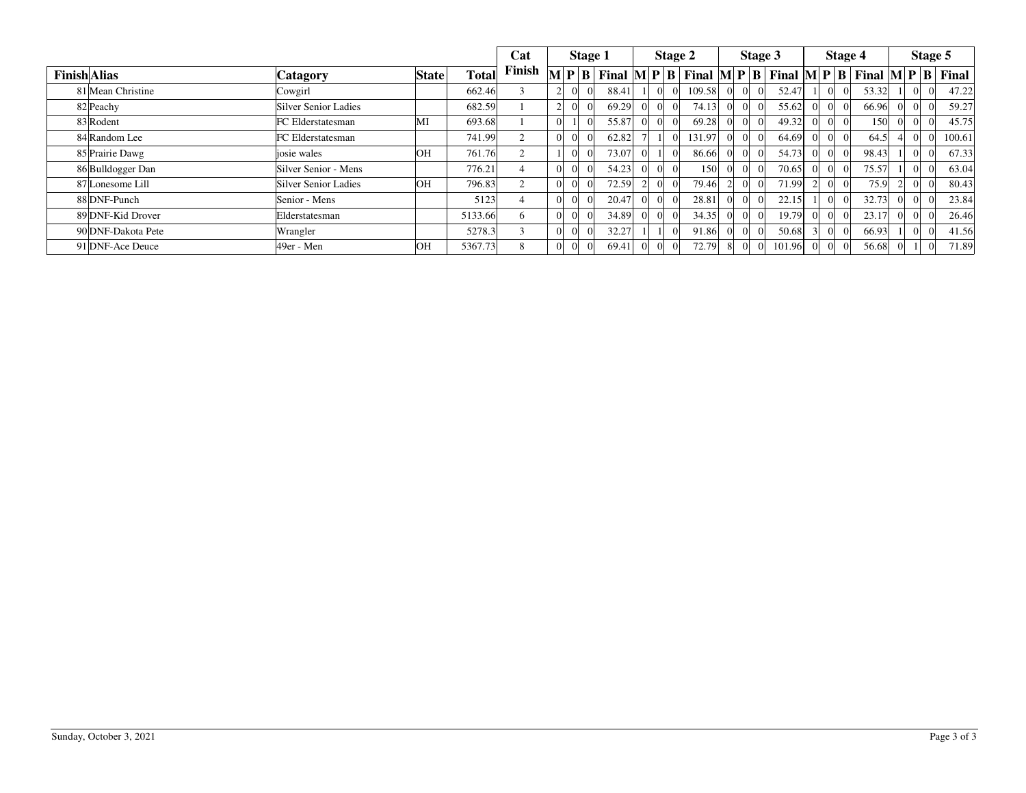|                     |                      |              |              | Cat    |                                     | Stage 1 |  |       | Stage 2 |                                                                                                                            |                |                | Stage 3 | Stage 4 |       |        | Stage 5        |                                                |
|---------------------|----------------------|--------------|--------------|--------|-------------------------------------|---------|--|-------|---------|----------------------------------------------------------------------------------------------------------------------------|----------------|----------------|---------|---------|-------|--------|----------------|------------------------------------------------|
| <b>Finish Alias</b> | Catagory             | <b>State</b> | <b>Total</b> | Finish | $\bf{M}$ $\bf{P}$ $\bf{B}$ $\bf{I}$ |         |  |       |         | Final $\mathbf{M} \mathbf{P} \mathbf{B}$ Final $\mathbf{M} \mathbf{P} \mathbf{B}$ Final $\mathbf{M} \mathbf{P} \mathbf{B}$ |                |                |         |         |       |        |                | Final $\mathbf{M} \mathbf{P} \mathbf{B}$ Final |
| 81 Mean Christine   | Cowgirl              |              | 662.46       |        |                                     |         |  | 88.41 |         | 109.58                                                                                                                     | $\overline{0}$ | $\overline{0}$ | 52.47   |         | 53.32 |        |                | 47.22                                          |
| 82 Peachy           | Silver Senior Ladies |              | 682.59       |        |                                     |         |  | 69.29 |         | 74.13                                                                                                                      | $\overline{0}$ | $\vert$ 0      | 55.62   |         | 66.96 |        | $\overline{0}$ | 59.27                                          |
| 83 Rodent           | FC Elderstatesman    | MI           | 693.68       |        | $\Omega$                            |         |  | 55.87 |         | 69.28                                                                                                                      | $\overline{0}$ |                | 49.32   |         | 150   |        | $\Omega$       | 45.75                                          |
| 84 Random Lee       | FC Elderstatesman    |              | 741.99       |        |                                     |         |  | 62.82 |         | 131.97                                                                                                                     | $\Omega$       |                | 64.69   |         | 64.5  |        | $\Omega$       | 100.61                                         |
| 85 Prairie Dawg     | iosie wales          | OH           | 761.76       |        |                                     |         |  | 73.07 |         | 86.66                                                                                                                      | $\Omega$       | $\Omega$       | 54.73   |         | 98.43 |        | $\overline{0}$ | 67.33                                          |
| 86 Bulldogger Dan   | Silver Senior - Mens |              | 776.21       |        |                                     |         |  | 54.23 |         | 150                                                                                                                        | $\overline{0}$ | $\Omega$       | 70.65   |         | 75.57 |        | $\overline{0}$ | 63.04                                          |
| 87 Lonesome Lill    | Silver Senior Ladies | OH           | 796.83       | 2      |                                     |         |  | 72.59 |         | 79.46                                                                                                                      |                | $\Omega$       | 71.99   |         | 75.9  |        |                | 80.43                                          |
| 88 DNF-Punch        | Senior - Mens        |              | 5123         |        |                                     |         |  | 20.47 |         | 28.81                                                                                                                      | $\Omega$       | $\Omega$       | 22.15   |         | 32.73 | $\cup$ | $\overline{0}$ | 23.84                                          |
| 89 DNF-Kid Drover   | Elderstatesman       |              | 5133.66      | 6      |                                     |         |  | 34.89 |         | 34.35                                                                                                                      | $\Omega$       |                | 19.79   |         | 23.17 | $_{0}$ | $\overline{0}$ | 26.46                                          |
| 90 DNF-Dakota Pete  | Wrangler             |              | 5278.3       |        |                                     |         |  | 32.27 |         | 91.86                                                                                                                      | $\Omega$       |                | 50.68   |         | 66.93 |        | $\overline{0}$ | 41.56                                          |
| 91 DNF-Ace Deuce    | 49er - Men           | OH           | 5367.73      | 8      |                                     |         |  | 69.41 |         | 72.79                                                                                                                      | 8              |                | 101.96  |         | 56.68 |        |                | 71.89                                          |